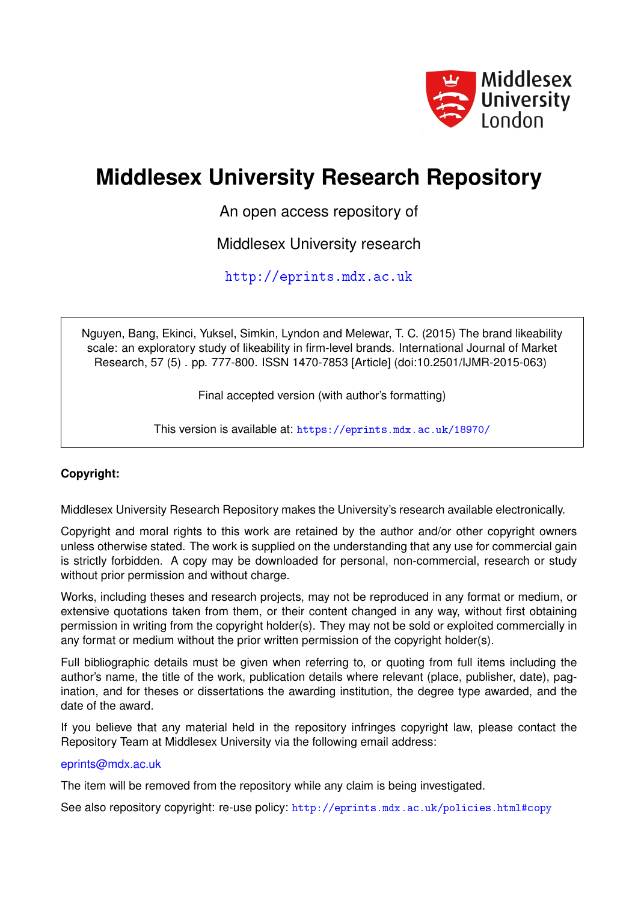

# **Middlesex University Research Repository**

An open access repository of

Middlesex University research

<http://eprints.mdx.ac.uk>

Nguyen, Bang, Ekinci, Yuksel, Simkin, Lyndon and Melewar, T. C. (2015) The brand likeability scale: an exploratory study of likeability in firm-level brands. International Journal of Market Research, 57 (5) . pp. 777-800. ISSN 1470-7853 [Article] (doi:10.2501/IJMR-2015-063)

Final accepted version (with author's formatting)

This version is available at: <https://eprints.mdx.ac.uk/18970/>

## **Copyright:**

Middlesex University Research Repository makes the University's research available electronically.

Copyright and moral rights to this work are retained by the author and/or other copyright owners unless otherwise stated. The work is supplied on the understanding that any use for commercial gain is strictly forbidden. A copy may be downloaded for personal, non-commercial, research or study without prior permission and without charge.

Works, including theses and research projects, may not be reproduced in any format or medium, or extensive quotations taken from them, or their content changed in any way, without first obtaining permission in writing from the copyright holder(s). They may not be sold or exploited commercially in any format or medium without the prior written permission of the copyright holder(s).

Full bibliographic details must be given when referring to, or quoting from full items including the author's name, the title of the work, publication details where relevant (place, publisher, date), pagination, and for theses or dissertations the awarding institution, the degree type awarded, and the date of the award.

If you believe that any material held in the repository infringes copyright law, please contact the Repository Team at Middlesex University via the following email address:

#### [eprints@mdx.ac.uk](mailto:eprints@mdx.ac.uk)

The item will be removed from the repository while any claim is being investigated.

See also repository copyright: re-use policy: <http://eprints.mdx.ac.uk/policies.html#copy>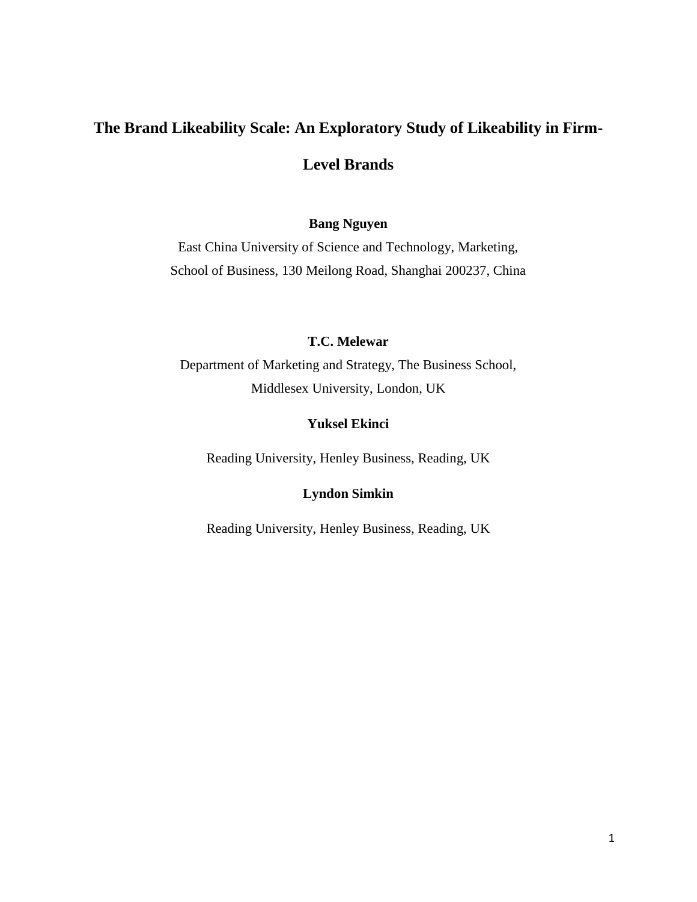## **The Brand Likeability Scale: An Exploratory Study of Likeability in Firm-Level Brands**

#### **Bang Nguyen**

East China University of Science and Technology, Marketing, School of Business, 130 Meilong Road, Shanghai 200237, China

### **T.C. Melewar**

Department of Marketing and Strategy, The Business School, Middlesex University, London, UK

#### **Yuksel Ekinci**

Reading University, Henley Business, Reading, UK

## **Lyndon Simkin**

Reading University, Henley Business, Reading, UK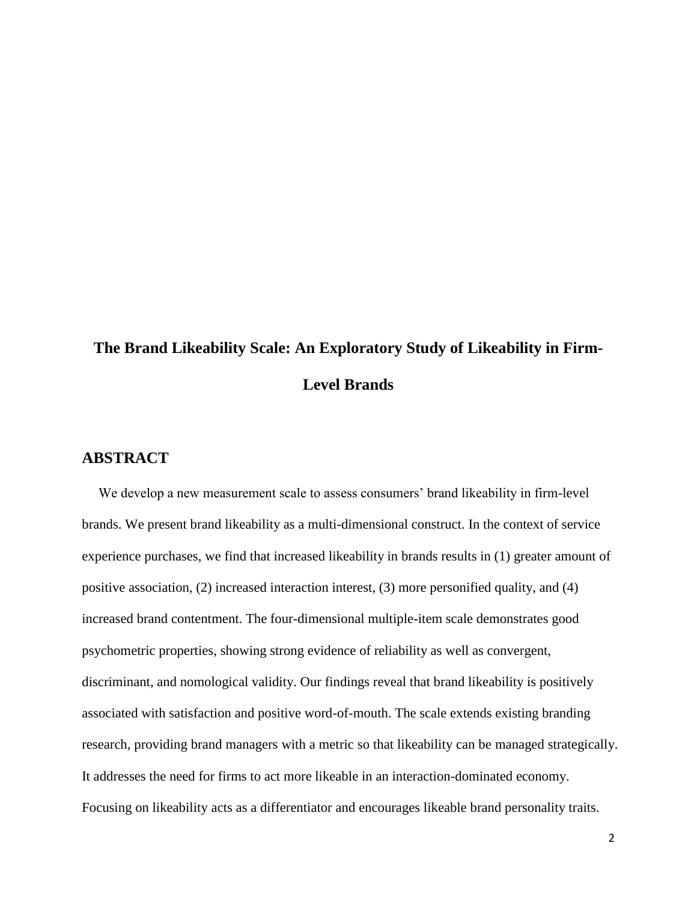# **The Brand Likeability Scale: An Exploratory Study of Likeability in Firm-Level Brands**

## **ABSTRACT**

We develop a new measurement scale to assess consumers' brand likeability in firm-level brands. We present brand likeability as a multi-dimensional construct. In the context of service experience purchases, we find that increased likeability in brands results in (1) greater amount of positive association, (2) increased interaction interest, (3) more personified quality, and (4) increased brand contentment. The four-dimensional multiple-item scale demonstrates good psychometric properties, showing strong evidence of reliability as well as convergent, discriminant, and nomological validity. Our findings reveal that brand likeability is positively associated with satisfaction and positive word-of-mouth. The scale extends existing branding research, providing brand managers with a metric so that likeability can be managed strategically. It addresses the need for firms to act more likeable in an interaction-dominated economy. Focusing on likeability acts as a differentiator and encourages likeable brand personality traits.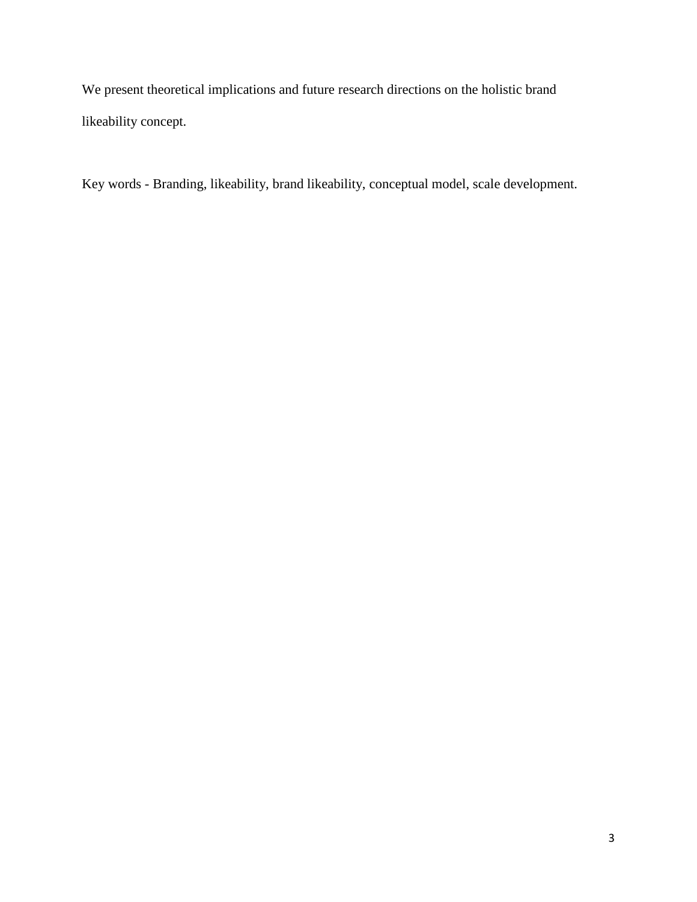We present theoretical implications and future research directions on the holistic brand likeability concept.

Key words - Branding, likeability, brand likeability, conceptual model, scale development.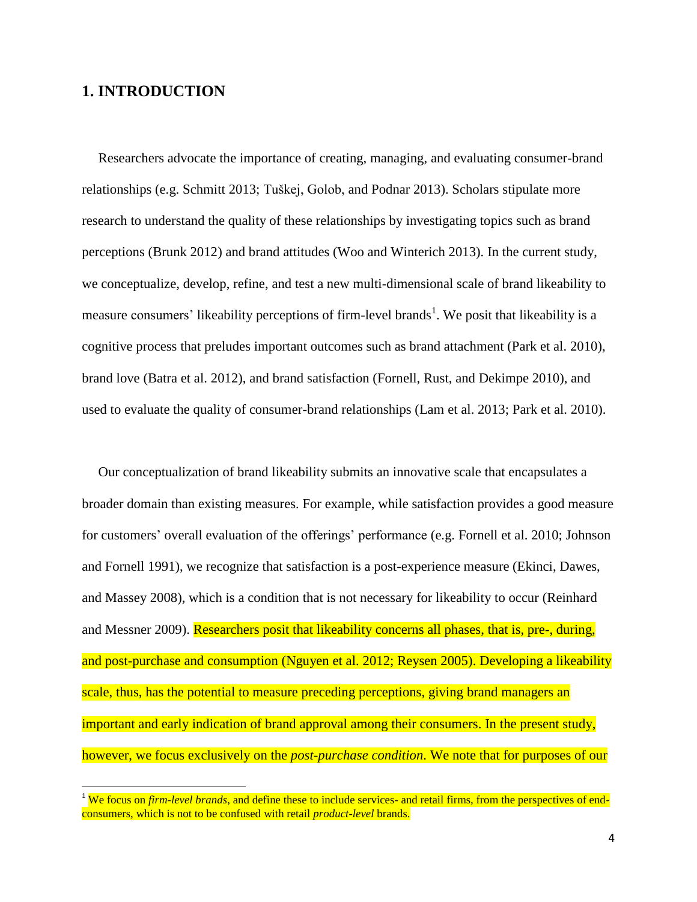## **1. INTRODUCTION**

l

Researchers advocate the importance of creating, managing, and evaluating consumer-brand relationships (e.g. Schmitt 2013; Tuškej, Golob, and Podnar 2013). Scholars stipulate more research to understand the quality of these relationships by investigating topics such as brand perceptions (Brunk 2012) and brand attitudes (Woo and Winterich 2013). In the current study, we conceptualize, develop, refine, and test a new multi-dimensional scale of brand likeability to measure consumers' likeability perceptions of firm-level brands<sup>1</sup>. We posit that likeability is a cognitive process that preludes important outcomes such as brand attachment (Park et al. 2010), brand love (Batra et al. 2012), and brand satisfaction (Fornell, Rust, and Dekimpe 2010), and used to evaluate the quality of consumer-brand relationships (Lam et al. 2013; Park et al. 2010).

Our conceptualization of brand likeability submits an innovative scale that encapsulates a broader domain than existing measures. For example, while satisfaction provides a good measure for customers' overall evaluation of the offerings' performance (e.g. Fornell et al. 2010; Johnson and Fornell 1991), we recognize that satisfaction is a post-experience measure (Ekinci, Dawes, and Massey 2008), which is a condition that is not necessary for likeability to occur (Reinhard and Messner 2009). Researchers posit that likeability concerns all phases, that is, pre-, during, and post-purchase and consumption (Nguyen et al. 2012; Reysen 2005). Developing a likeability scale, thus, has the potential to measure preceding perceptions, giving brand managers an important and early indication of brand approval among their consumers. In the present study, however, we focus exclusively on the *post-purchase condition*. We note that for purposes of our

<sup>&</sup>lt;sup>1</sup> We focus on *firm-level brands*, and define these to include services- and retail firms, from the perspectives of endconsumers, which is not to be confused with retail *product-level* brands.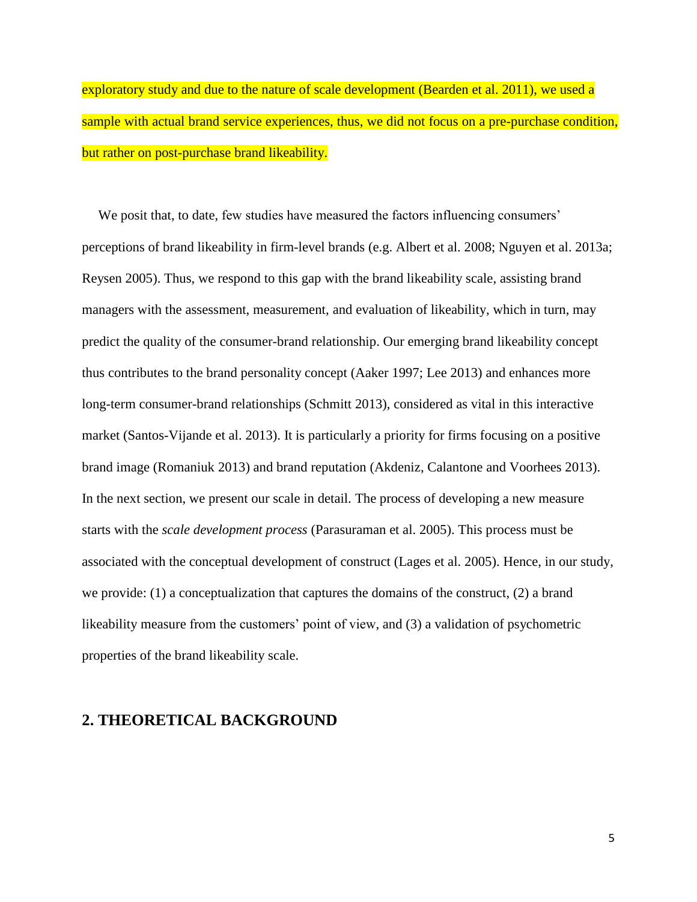exploratory study and due to the nature of scale development (Bearden et al. 2011), we used a sample with actual brand service experiences, thus, we did not focus on a pre-purchase condition, but rather on post-purchase brand likeability.

We posit that, to date, few studies have measured the factors influencing consumers' perceptions of brand likeability in firm-level brands (e.g. Albert et al. 2008; Nguyen et al. 2013a; Reysen 2005). Thus, we respond to this gap with the brand likeability scale, assisting brand managers with the assessment, measurement, and evaluation of likeability, which in turn, may predict the quality of the consumer-brand relationship. Our emerging brand likeability concept thus contributes to the brand personality concept (Aaker 1997; Lee 2013) and enhances more long-term consumer-brand relationships (Schmitt 2013), considered as vital in this interactive market (Santos-Vijande et al. 2013). It is particularly a priority for firms focusing on a positive brand image (Romaniuk 2013) and brand reputation (Akdeniz, Calantone and Voorhees 2013). In the next section, we present our scale in detail. The process of developing a new measure starts with the *scale development process* (Parasuraman et al. 2005). This process must be associated with the conceptual development of construct (Lages et al. 2005). Hence, in our study, we provide: (1) a conceptualization that captures the domains of the construct, (2) a brand likeability measure from the customers' point of view, and (3) a validation of psychometric properties of the brand likeability scale.

## **2. THEORETICAL BACKGROUND**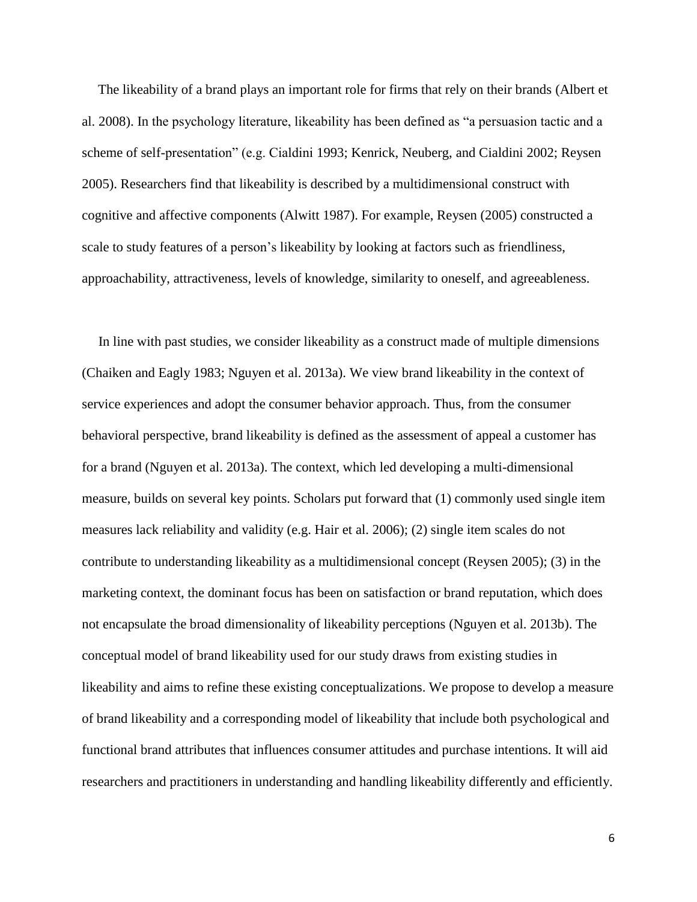The likeability of a brand plays an important role for firms that rely on their brands (Albert et al. 2008). In the psychology literature, likeability has been defined as "a persuasion tactic and a scheme of self-presentation" (e.g. Cialdini 1993; Kenrick, Neuberg, and Cialdini 2002; Reysen 2005). Researchers find that likeability is described by a multidimensional construct with cognitive and affective components (Alwitt 1987). For example, Reysen (2005) constructed a scale to study features of a person's likeability by looking at factors such as friendliness, approachability, attractiveness, levels of knowledge, similarity to oneself, and agreeableness.

In line with past studies, we consider likeability as a construct made of multiple dimensions (Chaiken and Eagly 1983; Nguyen et al. 2013a). We view brand likeability in the context of service experiences and adopt the consumer behavior approach. Thus, from the consumer behavioral perspective, brand likeability is defined as the assessment of appeal a customer has for a brand (Nguyen et al. 2013a). The context, which led developing a multi-dimensional measure, builds on several key points. Scholars put forward that (1) commonly used single item measures lack reliability and validity (e.g. Hair et al. 2006); (2) single item scales do not contribute to understanding likeability as a multidimensional concept (Reysen 2005); (3) in the marketing context, the dominant focus has been on satisfaction or brand reputation, which does not encapsulate the broad dimensionality of likeability perceptions (Nguyen et al. 2013b). The conceptual model of brand likeability used for our study draws from existing studies in likeability and aims to refine these existing conceptualizations. We propose to develop a measure of brand likeability and a corresponding model of likeability that include both psychological and functional brand attributes that influences consumer attitudes and purchase intentions. It will aid researchers and practitioners in understanding and handling likeability differently and efficiently.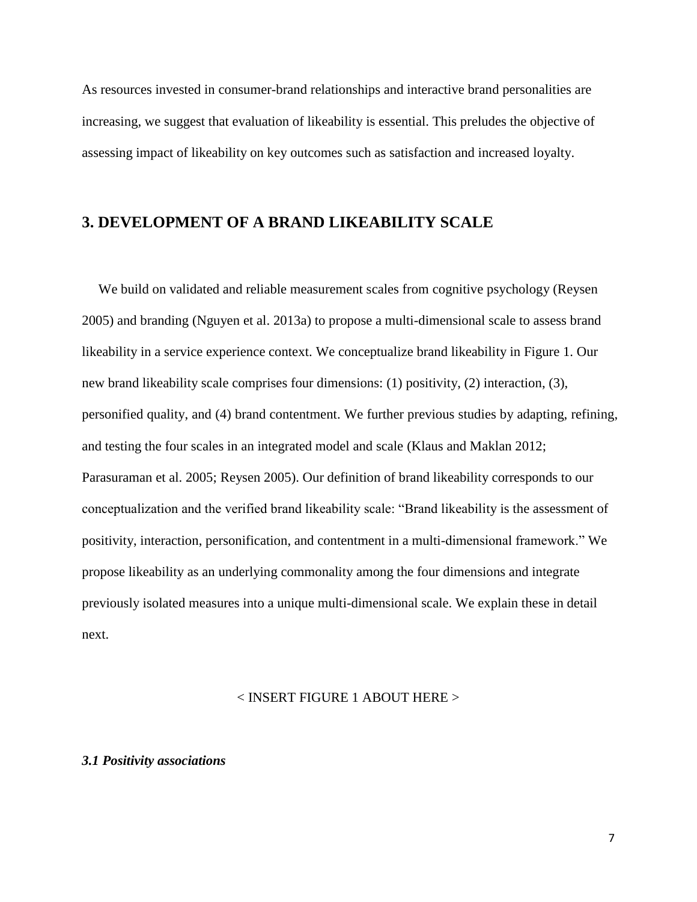As resources invested in consumer-brand relationships and interactive brand personalities are increasing, we suggest that evaluation of likeability is essential. This preludes the objective of assessing impact of likeability on key outcomes such as satisfaction and increased loyalty.

## **3. DEVELOPMENT OF A BRAND LIKEABILITY SCALE**

We build on validated and reliable measurement scales from cognitive psychology (Reysen 2005) and branding (Nguyen et al. 2013a) to propose a multi-dimensional scale to assess brand likeability in a service experience context. We conceptualize brand likeability in Figure 1. Our new brand likeability scale comprises four dimensions: (1) positivity, (2) interaction, (3), personified quality, and (4) brand contentment. We further previous studies by adapting, refining, and testing the four scales in an integrated model and scale (Klaus and Maklan 2012; Parasuraman et al. 2005; Reysen 2005). Our definition of brand likeability corresponds to our conceptualization and the verified brand likeability scale: "Brand likeability is the assessment of positivity, interaction, personification, and contentment in a multi-dimensional framework." We propose likeability as an underlying commonality among the four dimensions and integrate previously isolated measures into a unique multi-dimensional scale. We explain these in detail next.

#### < INSERT FIGURE 1 ABOUT HERE >

#### *3.1 Positivity associations*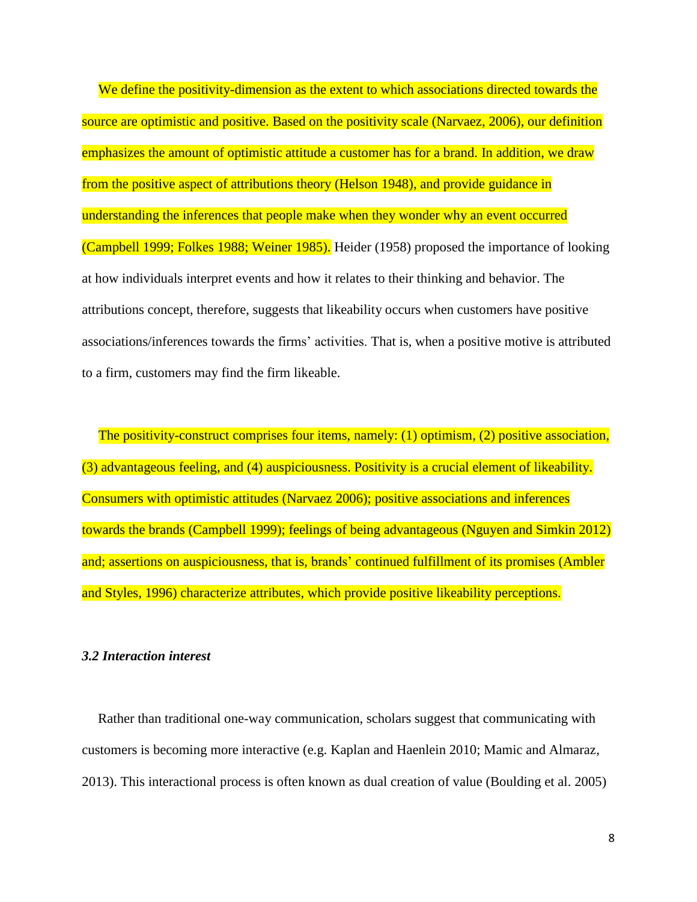We define the positivity-dimension as the extent to which associations directed towards the source are optimistic and positive. Based on the positivity scale (Narvaez, 2006), our definition emphasizes the amount of optimistic attitude a customer has for a brand. In addition, we draw from the positive aspect of attributions theory (Helson 1948), and provide guidance in understanding the inferences that people make when they wonder why an event occurred (Campbell 1999; Folkes 1988; Weiner 1985). Heider (1958) proposed the importance of looking at how individuals interpret events and how it relates to their thinking and behavior. The attributions concept, therefore, suggests that likeability occurs when customers have positive associations/inferences towards the firms' activities. That is, when a positive motive is attributed to a firm, customers may find the firm likeable.

The positivity-construct comprises four items, namely: (1) optimism, (2) positive association, (3) advantageous feeling, and (4) auspiciousness. Positivity is a crucial element of likeability. Consumers with optimistic attitudes (Narvaez 2006); positive associations and inferences towards the brands (Campbell 1999); feelings of being advantageous (Nguyen and Simkin 2012) and; assertions on auspiciousness, that is, brands' continued fulfillment of its promises (Ambler and Styles, 1996) characterize attributes, which provide positive likeability perceptions.

#### *3.2 Interaction interest*

Rather than traditional one-way communication, scholars suggest that communicating with customers is becoming more interactive (e.g. Kaplan and Haenlein 2010; Mamic and Almaraz, 2013). This interactional process is often known as dual creation of value (Boulding et al. 2005)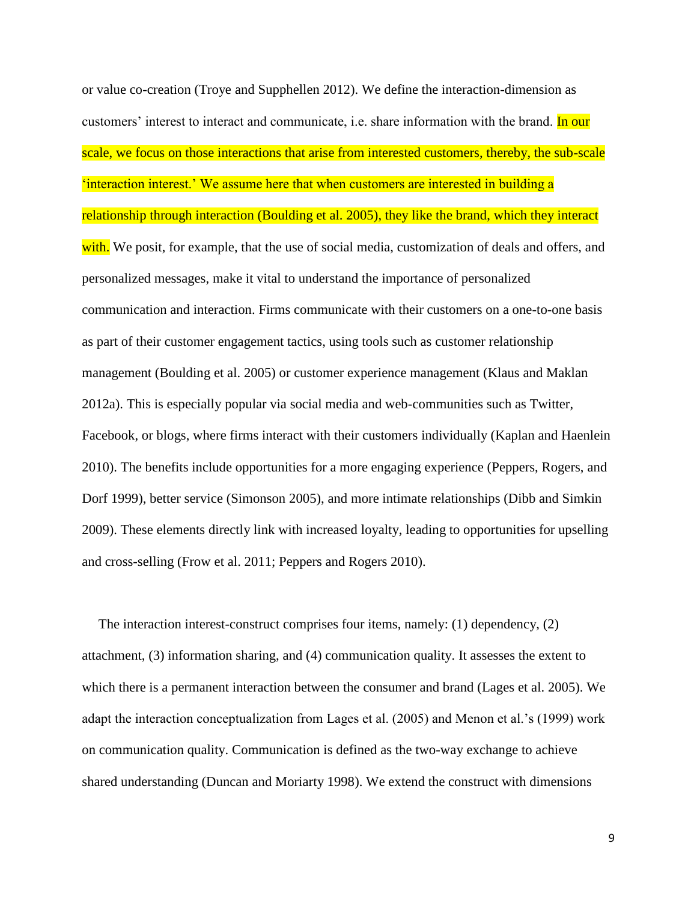or value co-creation (Troye and Supphellen 2012). We define the interaction-dimension as customers' interest to interact and communicate, i.e. share information with the brand. In our scale, we focus on those interactions that arise from interested customers, thereby, the sub-scale 'interaction interest.' We assume here that when customers are interested in building a relationship through interaction (Boulding et al. 2005), they like the brand, which they interact with. We posit, for example, that the use of social media, customization of deals and offers, and personalized messages, make it vital to understand the importance of personalized communication and interaction. Firms communicate with their customers on a one-to-one basis as part of their customer engagement tactics, using tools such as customer relationship management (Boulding et al. 2005) or customer experience management (Klaus and Maklan 2012a). This is especially popular via social media and web-communities such as Twitter, Facebook, or blogs, where firms interact with their customers individually (Kaplan and Haenlein 2010). The benefits include opportunities for a more engaging experience (Peppers, Rogers, and Dorf 1999), better service (Simonson 2005), and more intimate relationships (Dibb and Simkin 2009). These elements directly link with increased loyalty, leading to opportunities for upselling and cross-selling (Frow et al. 2011; Peppers and Rogers 2010).

The interaction interest-construct comprises four items, namely: (1) dependency, (2) attachment, (3) information sharing, and (4) communication quality. It assesses the extent to which there is a permanent interaction between the consumer and brand (Lages et al. 2005). We adapt the interaction conceptualization from Lages et al. (2005) and Menon et al.'s (1999) work on communication quality. Communication is defined as the two-way exchange to achieve shared understanding (Duncan and Moriarty 1998). We extend the construct with dimensions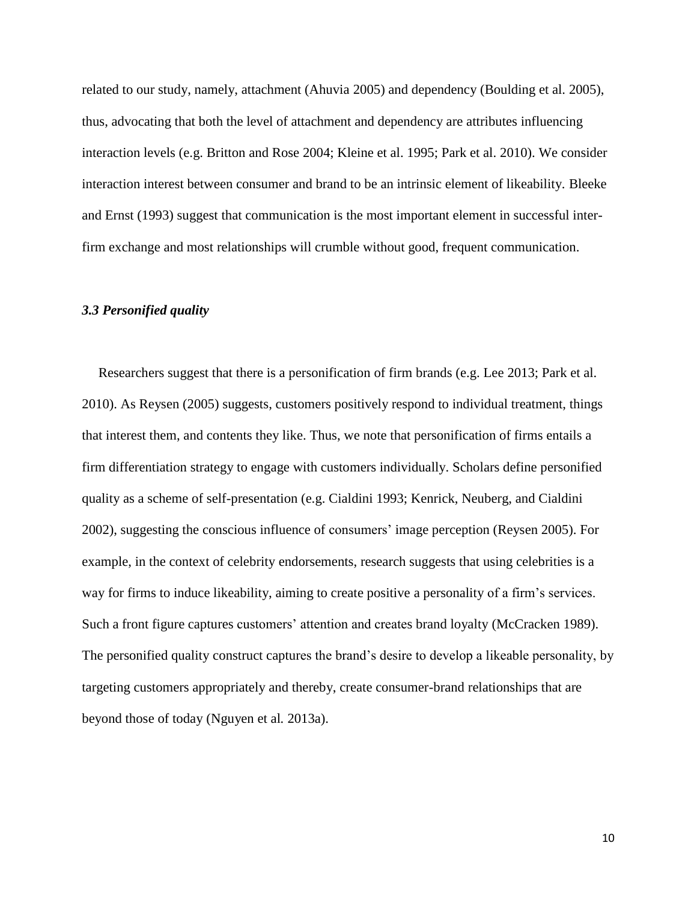related to our study, namely, attachment (Ahuvia 2005) and dependency (Boulding et al. 2005), thus, advocating that both the level of attachment and dependency are attributes influencing interaction levels (e.g. Britton and Rose 2004; Kleine et al. 1995; Park et al. 2010). We consider interaction interest between consumer and brand to be an intrinsic element of likeability. Bleeke and Ernst (1993) suggest that communication is the most important element in successful interfirm exchange and most relationships will crumble without good, frequent communication.

#### *3.3 Personified quality*

Researchers suggest that there is a personification of firm brands (e.g. Lee 2013; Park et al. 2010). As Reysen (2005) suggests, customers positively respond to individual treatment, things that interest them, and contents they like. Thus, we note that personification of firms entails a firm differentiation strategy to engage with customers individually. Scholars define personified quality as a scheme of self-presentation (e.g. Cialdini 1993; Kenrick, Neuberg, and Cialdini 2002), suggesting the conscious influence of consumers' image perception (Reysen 2005). For example, in the context of celebrity endorsements, research suggests that using celebrities is a way for firms to induce likeability, aiming to create positive a personality of a firm's services. Such a front figure captures customers' attention and creates brand loyalty (McCracken 1989). The personified quality construct captures the brand's desire to develop a likeable personality, by targeting customers appropriately and thereby, create consumer-brand relationships that are beyond those of today (Nguyen et al*.* 2013a).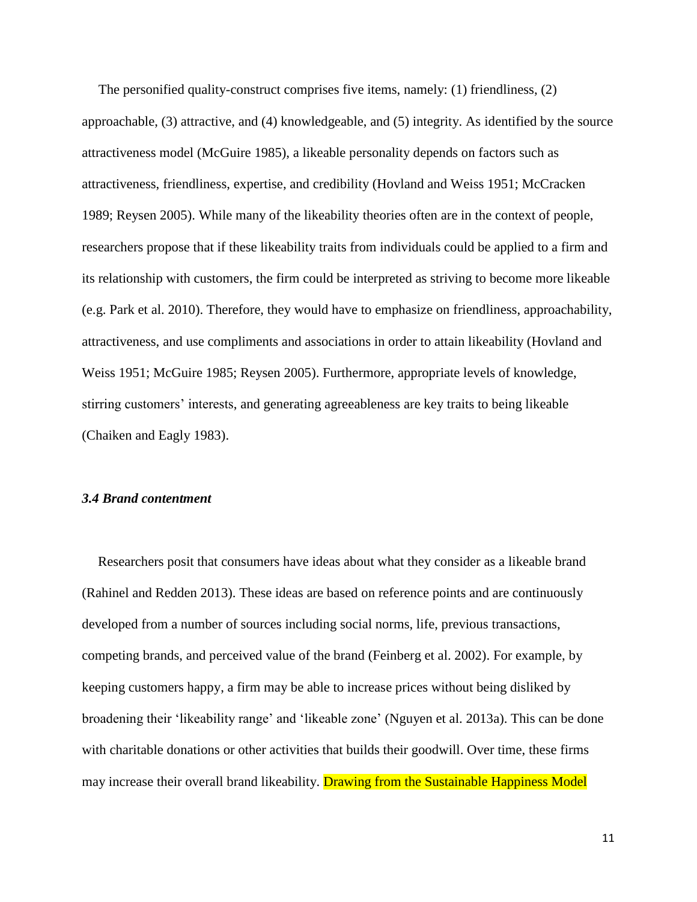The personified quality-construct comprises five items, namely: (1) friendliness, (2) approachable, (3) attractive, and (4) knowledgeable, and (5) integrity. As identified by the source attractiveness model (McGuire 1985), a likeable personality depends on factors such as attractiveness, friendliness, expertise, and credibility (Hovland and Weiss 1951; McCracken 1989; Reysen 2005). While many of the likeability theories often are in the context of people, researchers propose that if these likeability traits from individuals could be applied to a firm and its relationship with customers, the firm could be interpreted as striving to become more likeable (e.g. Park et al. 2010). Therefore, they would have to emphasize on friendliness, approachability, attractiveness, and use compliments and associations in order to attain likeability (Hovland and Weiss 1951; McGuire 1985; Reysen 2005). Furthermore, appropriate levels of knowledge, stirring customers' interests, and generating agreeableness are key traits to being likeable (Chaiken and Eagly 1983).

#### *3.4 Brand contentment*

Researchers posit that consumers have ideas about what they consider as a likeable brand (Rahinel and Redden 2013). These ideas are based on reference points and are continuously developed from a number of sources including social norms, life, previous transactions, competing brands, and perceived value of the brand (Feinberg et al. 2002). For example, by keeping customers happy, a firm may be able to increase prices without being disliked by broadening their 'likeability range' and 'likeable zone' (Nguyen et al. 2013a). This can be done with charitable donations or other activities that builds their goodwill. Over time, these firms may increase their overall brand likeability. Drawing from the Sustainable Happiness Model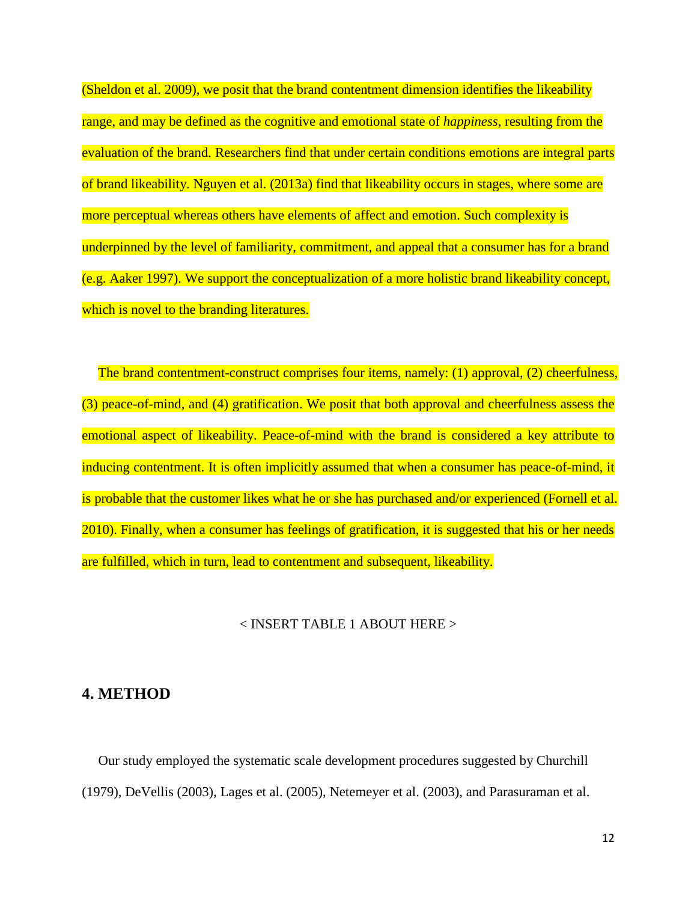(Sheldon et al. 2009), we posit that the brand contentment dimension identifies the likeability range, and may be defined as the cognitive and emotional state of *happiness*, resulting from the evaluation of the brand. Researchers find that under certain conditions emotions are integral parts of brand likeability. Nguyen et al. (2013a) find that likeability occurs in stages, where some are more perceptual whereas others have elements of affect and emotion. Such complexity is underpinned by the level of familiarity, commitment, and appeal that a consumer has for a brand (e.g. Aaker 1997). We support the conceptualization of a more holistic brand likeability concept, which is novel to the branding literatures.

The brand contentment-construct comprises four items, namely: (1) approval, (2) cheerfulness, (3) peace-of-mind, and (4) gratification. We posit that both approval and cheerfulness assess the emotional aspect of likeability. Peace-of-mind with the brand is considered a key attribute to inducing contentment. It is often implicitly assumed that when a consumer has peace-of-mind, it is probable that the customer likes what he or she has purchased and/or experienced (Fornell et al*.* 2010). Finally, when a consumer has feelings of gratification, it is suggested that his or her needs are fulfilled, which in turn, lead to contentment and subsequent, likeability.

#### < INSERT TABLE 1 ABOUT HERE >

## **4. METHOD**

Our study employed the systematic scale development procedures suggested by Churchill (1979), DeVellis (2003), Lages et al. (2005), Netemeyer et al. (2003), and Parasuraman et al.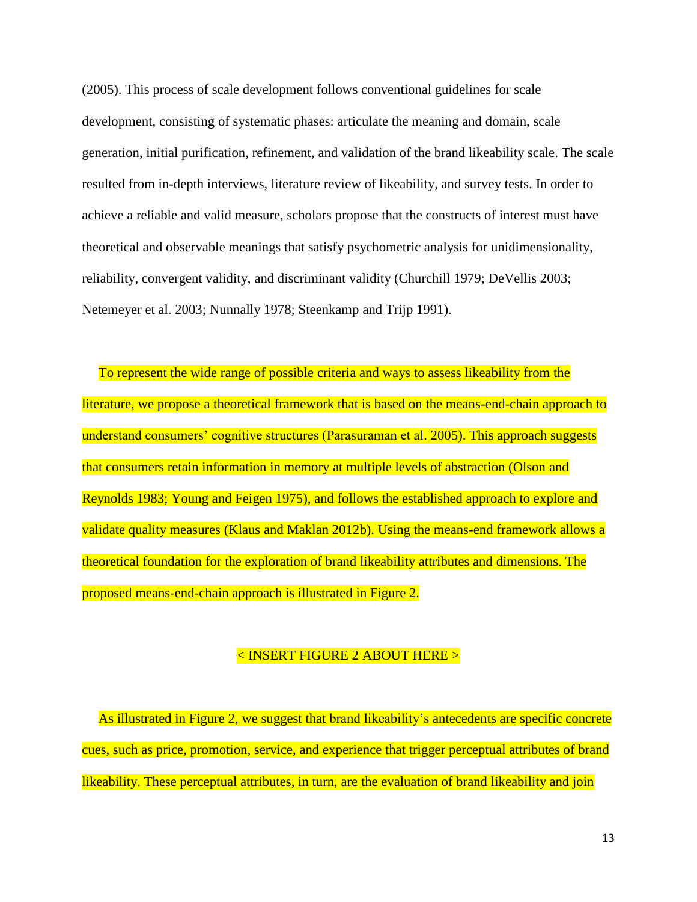(2005). This process of scale development follows conventional guidelines for scale development, consisting of systematic phases: articulate the meaning and domain, scale generation, initial purification, refinement, and validation of the brand likeability scale. The scale resulted from in-depth interviews, literature review of likeability, and survey tests. In order to achieve a reliable and valid measure, scholars propose that the constructs of interest must have theoretical and observable meanings that satisfy psychometric analysis for unidimensionality, reliability, convergent validity, and discriminant validity (Churchill 1979; DeVellis 2003; Netemeyer et al. 2003; Nunnally 1978; Steenkamp and Trijp 1991).

To represent the wide range of possible criteria and ways to assess likeability from the literature, we propose a theoretical framework that is based on the means-end-chain approach to understand consumers' cognitive structures (Parasuraman et al. 2005). This approach suggests that consumers retain information in memory at multiple levels of abstraction (Olson and Reynolds 1983; Young and Feigen 1975), and follows the established approach to explore and validate quality measures (Klaus and Maklan 2012b). Using the means-end framework allows a theoretical foundation for the exploration of brand likeability attributes and dimensions. The proposed means-end-chain approach is illustrated in Figure 2.

#### < INSERT FIGURE 2 ABOUT HERE >

As illustrated in Figure 2, we suggest that brand likeability's antecedents are specific concrete cues, such as price, promotion, service, and experience that trigger perceptual attributes of brand likeability. These perceptual attributes, in turn, are the evaluation of brand likeability and join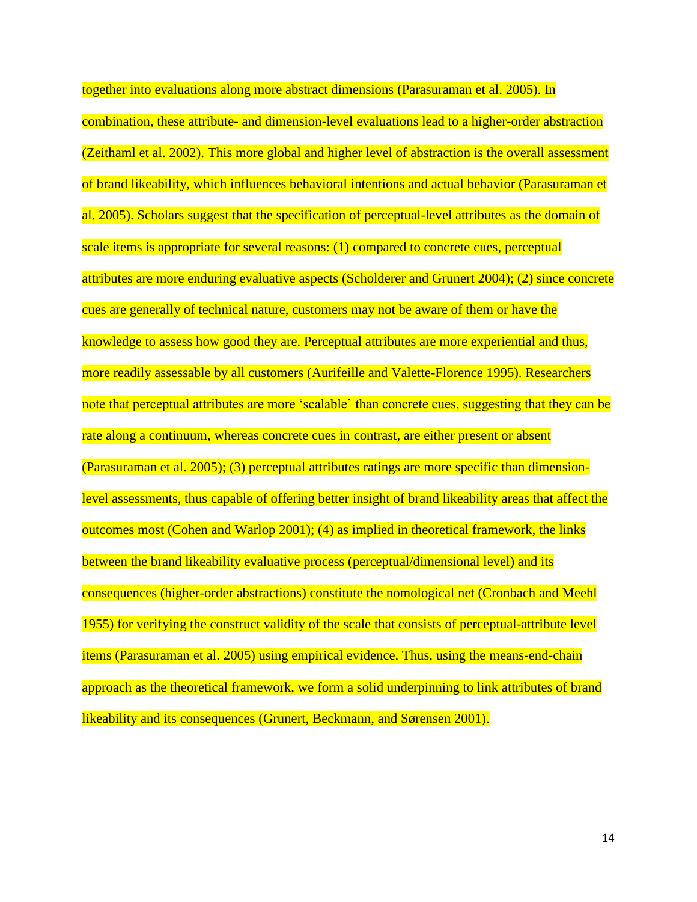together into evaluations along more abstract dimensions (Parasuraman et al. 2005). In combination, these attribute- and dimension-level evaluations lead to a higher-order abstraction (Zeithaml et al. 2002). This more global and higher level of abstraction is the overall assessment of brand likeability, which influences behavioral intentions and actual behavior (Parasuraman et al. 2005). Scholars suggest that the specification of perceptual-level attributes as the domain of scale items is appropriate for several reasons: (1) compared to concrete cues, perceptual attributes are more enduring evaluative aspects (Scholderer and Grunert 2004); (2) since concrete cues are generally of technical nature, customers may not be aware of them or have the knowledge to assess how good they are. Perceptual attributes are more experiential and thus, more readily assessable by all customers (Aurifeille and Valette-Florence 1995). Researchers note that perceptual attributes are more 'scalable' than concrete cues, suggesting that they can be rate along a continuum, whereas concrete cues in contrast, are either present or absent (Parasuraman et al. 2005); (3) perceptual attributes ratings are more specific than dimensionlevel assessments, thus capable of offering better insight of brand likeability areas that affect the outcomes most (Cohen and Warlop 2001); (4) as implied in theoretical framework, the links between the brand likeability evaluative process (perceptual/dimensional level) and its consequences (higher-order abstractions) constitute the nomological net (Cronbach and Meehl 1955) for verifying the construct validity of the scale that consists of perceptual-attribute level items (Parasuraman et al. 2005) using empirical evidence. Thus, using the means-end-chain approach as the theoretical framework, we form a solid underpinning to link attributes of brand likeability and its consequences (Grunert, Beckmann, and Sørensen 2001).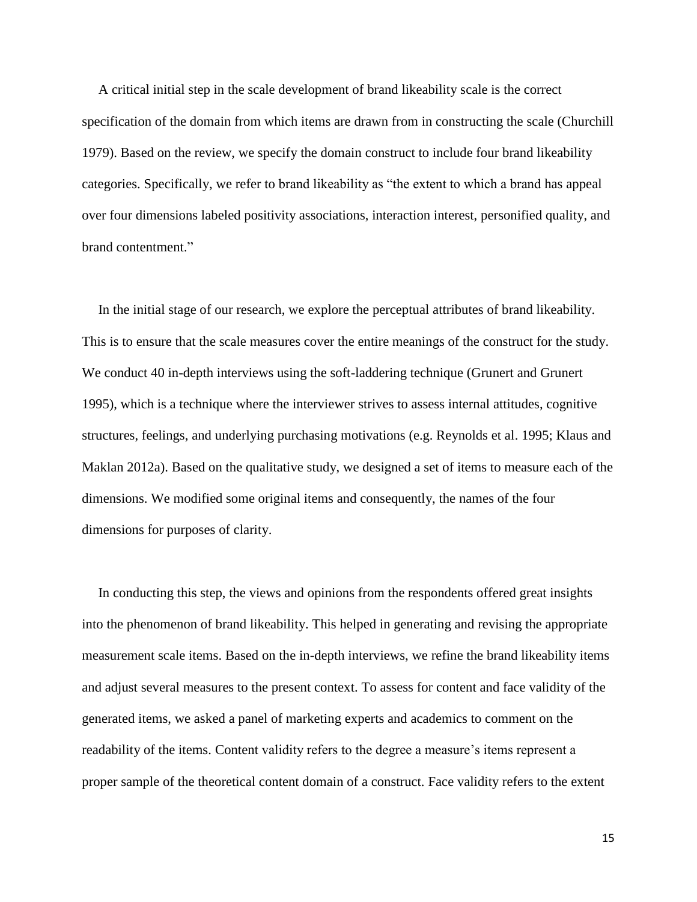A critical initial step in the scale development of brand likeability scale is the correct specification of the domain from which items are drawn from in constructing the scale (Churchill 1979). Based on the review, we specify the domain construct to include four brand likeability categories. Specifically, we refer to brand likeability as "the extent to which a brand has appeal over four dimensions labeled positivity associations, interaction interest, personified quality, and brand contentment."

In the initial stage of our research, we explore the perceptual attributes of brand likeability. This is to ensure that the scale measures cover the entire meanings of the construct for the study. We conduct 40 in-depth interviews using the soft-laddering technique (Grunert and Grunert 1995), which is a technique where the interviewer strives to assess internal attitudes, cognitive structures, feelings, and underlying purchasing motivations (e.g. Reynolds et al. 1995; Klaus and Maklan 2012a). Based on the qualitative study, we designed a set of items to measure each of the dimensions. We modified some original items and consequently, the names of the four dimensions for purposes of clarity.

In conducting this step, the views and opinions from the respondents offered great insights into the phenomenon of brand likeability. This helped in generating and revising the appropriate measurement scale items. Based on the in-depth interviews, we refine the brand likeability items and adjust several measures to the present context. To assess for content and face validity of the generated items, we asked a panel of marketing experts and academics to comment on the readability of the items. Content validity refers to the degree a measure's items represent a proper sample of the theoretical content domain of a construct. Face validity refers to the extent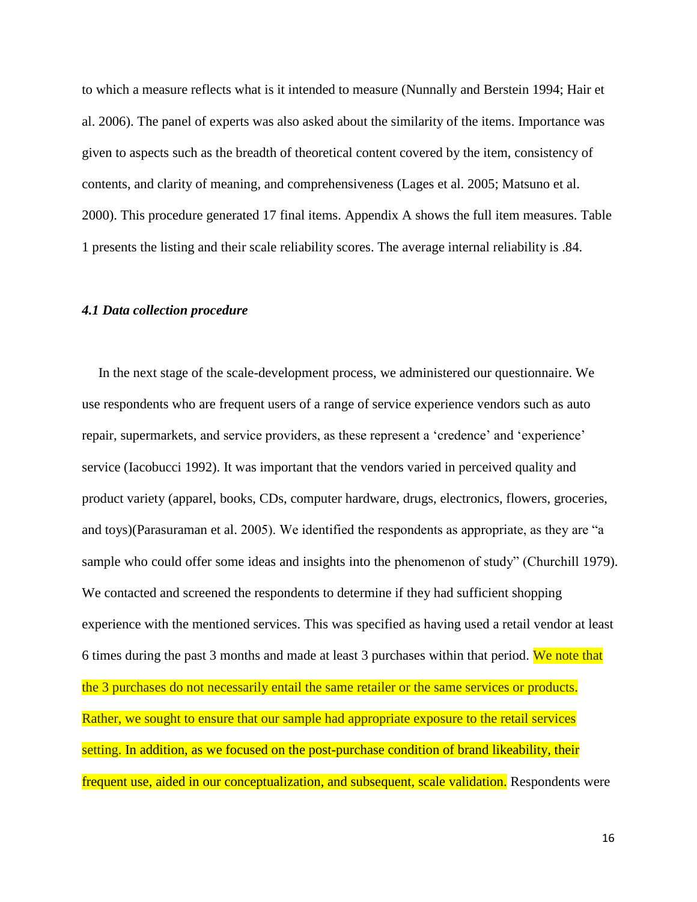to which a measure reflects what is it intended to measure (Nunnally and Berstein 1994; Hair et al. 2006). The panel of experts was also asked about the similarity of the items. Importance was given to aspects such as the breadth of theoretical content covered by the item, consistency of contents, and clarity of meaning, and comprehensiveness (Lages et al. 2005; Matsuno et al. 2000). This procedure generated 17 final items. Appendix A shows the full item measures. Table 1 presents the listing and their scale reliability scores. The average internal reliability is .84.

#### *4.1 Data collection procedure*

In the next stage of the scale-development process, we administered our questionnaire. We use respondents who are frequent users of a range of service experience vendors such as auto repair, supermarkets, and service providers, as these represent a 'credence' and 'experience' service (Iacobucci 1992). It was important that the vendors varied in perceived quality and product variety (apparel, books, CDs, computer hardware, drugs, electronics, flowers, groceries, and toys)(Parasuraman et al. 2005). We identified the respondents as appropriate, as they are "a sample who could offer some ideas and insights into the phenomenon of study" (Churchill 1979). We contacted and screened the respondents to determine if they had sufficient shopping experience with the mentioned services. This was specified as having used a retail vendor at least 6 times during the past 3 months and made at least 3 purchases within that period. We note that the 3 purchases do not necessarily entail the same retailer or the same services or products. Rather, we sought to ensure that our sample had appropriate exposure to the retail services setting. In addition, as we focused on the post-purchase condition of brand likeability, their frequent use, aided in our conceptualization, and subsequent, scale validation. Respondents were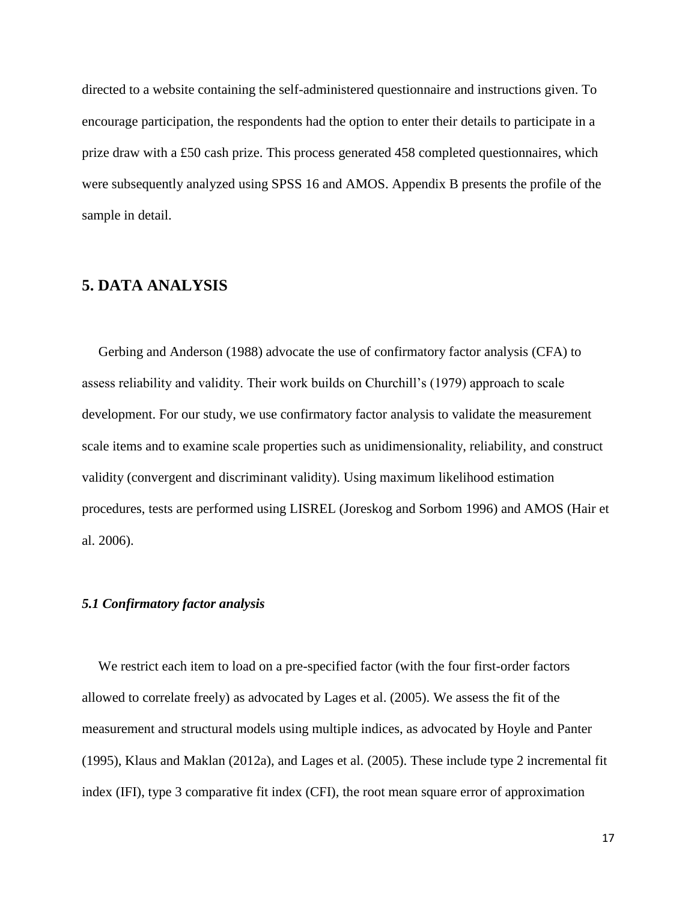directed to a website containing the self-administered questionnaire and instructions given. To encourage participation, the respondents had the option to enter their details to participate in a prize draw with a £50 cash prize. This process generated 458 completed questionnaires, which were subsequently analyzed using SPSS 16 and AMOS. Appendix B presents the profile of the sample in detail.

## **5. DATA ANALYSIS**

Gerbing and Anderson (1988) advocate the use of confirmatory factor analysis (CFA) to assess reliability and validity. Their work builds on Churchill's (1979) approach to scale development. For our study, we use confirmatory factor analysis to validate the measurement scale items and to examine scale properties such as unidimensionality, reliability, and construct validity (convergent and discriminant validity). Using maximum likelihood estimation procedures, tests are performed using LISREL (Joreskog and Sorbom 1996) and AMOS (Hair et al. 2006).

#### *5.1 Confirmatory factor analysis*

We restrict each item to load on a pre-specified factor (with the four first-order factors allowed to correlate freely) as advocated by Lages et al. (2005). We assess the fit of the measurement and structural models using multiple indices, as advocated by Hoyle and Panter (1995), Klaus and Maklan (2012a), and Lages et al. (2005). These include type 2 incremental fit index (IFI), type 3 comparative fit index (CFI), the root mean square error of approximation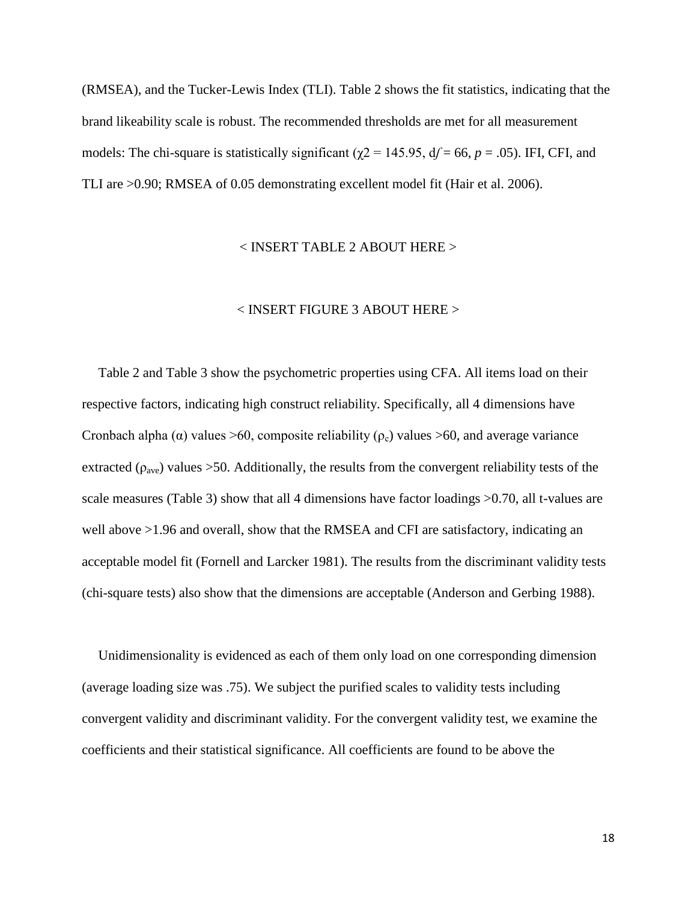(RMSEA), and the Tucker-Lewis Index (TLI). Table 2 shows the fit statistics, indicating that the brand likeability scale is robust. The recommended thresholds are met for all measurement models: The chi-square is statistically significant ( $\gamma$ 2 = 145.95,  $d$ / = 66, *p* = .05). IFI, CFI, and TLI are >0.90; RMSEA of 0.05 demonstrating excellent model fit (Hair et al. 2006).

#### < INSERT TABLE 2 ABOUT HERE >

#### < INSERT FIGURE 3 ABOUT HERE >

Table 2 and Table 3 show the psychometric properties using CFA. All items load on their respective factors, indicating high construct reliability. Specifically, all 4 dimensions have Cronbach alpha ( $\alpha$ ) values >60, composite reliability ( $\rho_c$ ) values >60, and average variance extracted ( $\rho_{ave}$ ) values >50. Additionally, the results from the convergent reliability tests of the scale measures (Table 3) show that all 4 dimensions have factor loadings >0.70, all t-values are well above >1.96 and overall, show that the RMSEA and CFI are satisfactory, indicating an acceptable model fit (Fornell and Larcker 1981). The results from the discriminant validity tests (chi-square tests) also show that the dimensions are acceptable (Anderson and Gerbing 1988).

Unidimensionality is evidenced as each of them only load on one corresponding dimension (average loading size was .75). We subject the purified scales to validity tests including convergent validity and discriminant validity. For the convergent validity test, we examine the coefficients and their statistical significance. All coefficients are found to be above the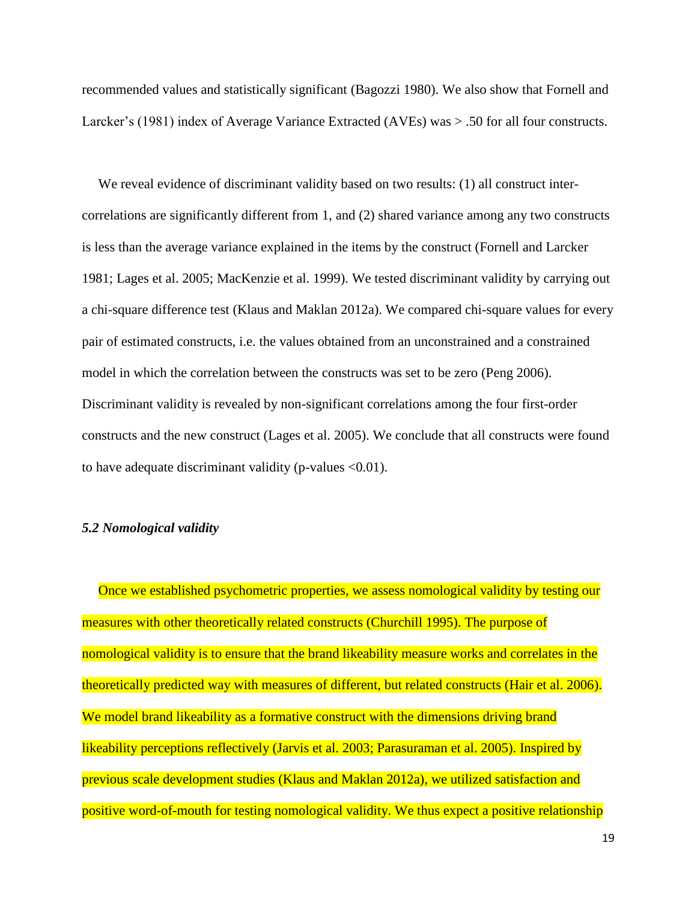recommended values and statistically significant (Bagozzi 1980). We also show that Fornell and Larcker's (1981) index of Average Variance Extracted (AVEs) was > .50 for all four constructs.

We reveal evidence of discriminant validity based on two results: (1) all construct intercorrelations are significantly different from 1, and (2) shared variance among any two constructs is less than the average variance explained in the items by the construct (Fornell and Larcker 1981; Lages et al. 2005; MacKenzie et al. 1999). We tested discriminant validity by carrying out a chi-square difference test (Klaus and Maklan 2012a). We compared chi-square values for every pair of estimated constructs, i.e. the values obtained from an unconstrained and a constrained model in which the correlation between the constructs was set to be zero (Peng 2006). Discriminant validity is revealed by non-significant correlations among the four first-order constructs and the new construct (Lages et al. 2005). We conclude that all constructs were found to have adequate discriminant validity (p-values <0.01).

#### *5.2 Nomological validity*

Once we established psychometric properties, we assess nomological validity by testing our measures with other theoretically related constructs (Churchill 1995). The purpose of nomological validity is to ensure that the brand likeability measure works and correlates in the theoretically predicted way with measures of different, but related constructs (Hair et al. 2006). We model brand likeability as a formative construct with the dimensions driving brand likeability perceptions reflectively (Jarvis et al. 2003; Parasuraman et al. 2005). Inspired by previous scale development studies (Klaus and Maklan 2012a), we utilized satisfaction and positive word-of-mouth for testing nomological validity. We thus expect a positive relationship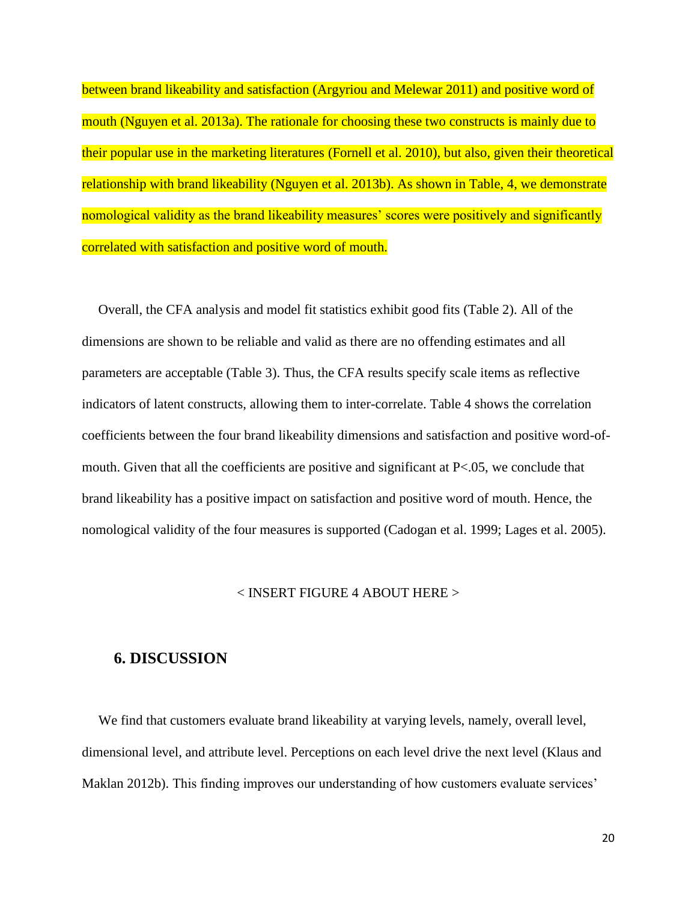between brand likeability and satisfaction (Argyriou and Melewar 2011) and positive word of mouth (Nguyen et al. 2013a). The rationale for choosing these two constructs is mainly due to their popular use in the marketing literatures (Fornell et al. 2010), but also, given their theoretical relationship with brand likeability (Nguyen et al. 2013b). As shown in Table, 4, we demonstrate nomological validity as the brand likeability measures' scores were positively and significantly correlated with satisfaction and positive word of mouth.

Overall, the CFA analysis and model fit statistics exhibit good fits (Table 2). All of the dimensions are shown to be reliable and valid as there are no offending estimates and all parameters are acceptable (Table 3). Thus, the CFA results specify scale items as reflective indicators of latent constructs, allowing them to inter-correlate. Table 4 shows the correlation coefficients between the four brand likeability dimensions and satisfaction and positive word-ofmouth. Given that all the coefficients are positive and significant at  $P<.05$ , we conclude that brand likeability has a positive impact on satisfaction and positive word of mouth. Hence, the nomological validity of the four measures is supported (Cadogan et al. 1999; Lages et al. 2005).

#### < INSERT FIGURE 4 ABOUT HERE >

### **6. DISCUSSION**

We find that customers evaluate brand likeability at varying levels, namely, overall level, dimensional level, and attribute level. Perceptions on each level drive the next level (Klaus and Maklan 2012b). This finding improves our understanding of how customers evaluate services'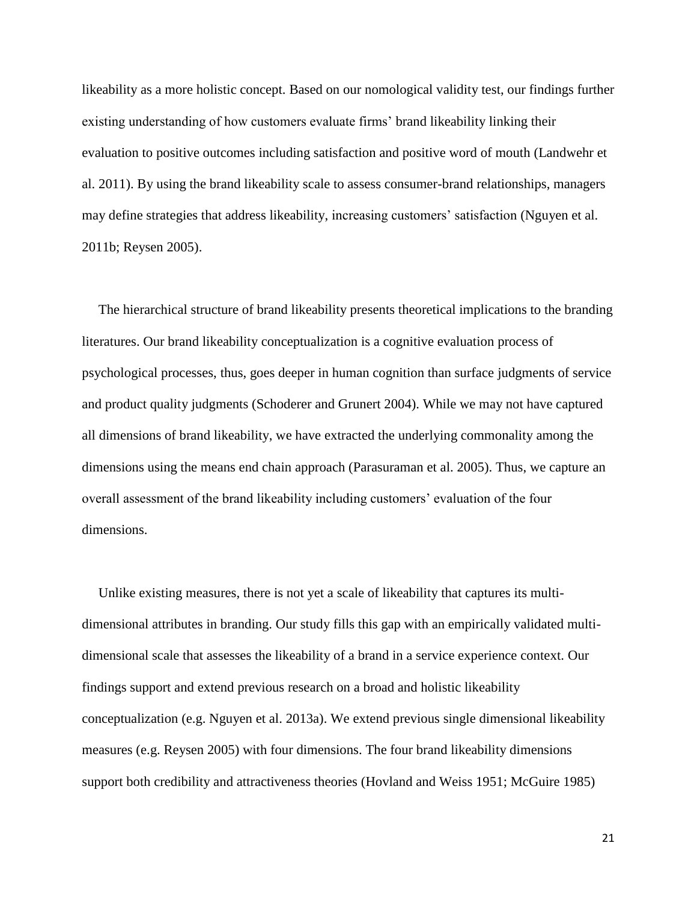likeability as a more holistic concept. Based on our nomological validity test, our findings further existing understanding of how customers evaluate firms' brand likeability linking their evaluation to positive outcomes including satisfaction and positive word of mouth (Landwehr et al. 2011). By using the brand likeability scale to assess consumer-brand relationships, managers may define strategies that address likeability, increasing customers' satisfaction (Nguyen et al. 2011b; Reysen 2005).

The hierarchical structure of brand likeability presents theoretical implications to the branding literatures. Our brand likeability conceptualization is a cognitive evaluation process of psychological processes, thus, goes deeper in human cognition than surface judgments of service and product quality judgments (Schoderer and Grunert 2004). While we may not have captured all dimensions of brand likeability, we have extracted the underlying commonality among the dimensions using the means end chain approach (Parasuraman et al. 2005). Thus, we capture an overall assessment of the brand likeability including customers' evaluation of the four dimensions.

Unlike existing measures, there is not yet a scale of likeability that captures its multidimensional attributes in branding. Our study fills this gap with an empirically validated multidimensional scale that assesses the likeability of a brand in a service experience context. Our findings support and extend previous research on a broad and holistic likeability conceptualization (e.g. Nguyen et al. 2013a). We extend previous single dimensional likeability measures (e.g. Reysen 2005) with four dimensions. The four brand likeability dimensions support both credibility and attractiveness theories (Hovland and Weiss 1951; McGuire 1985)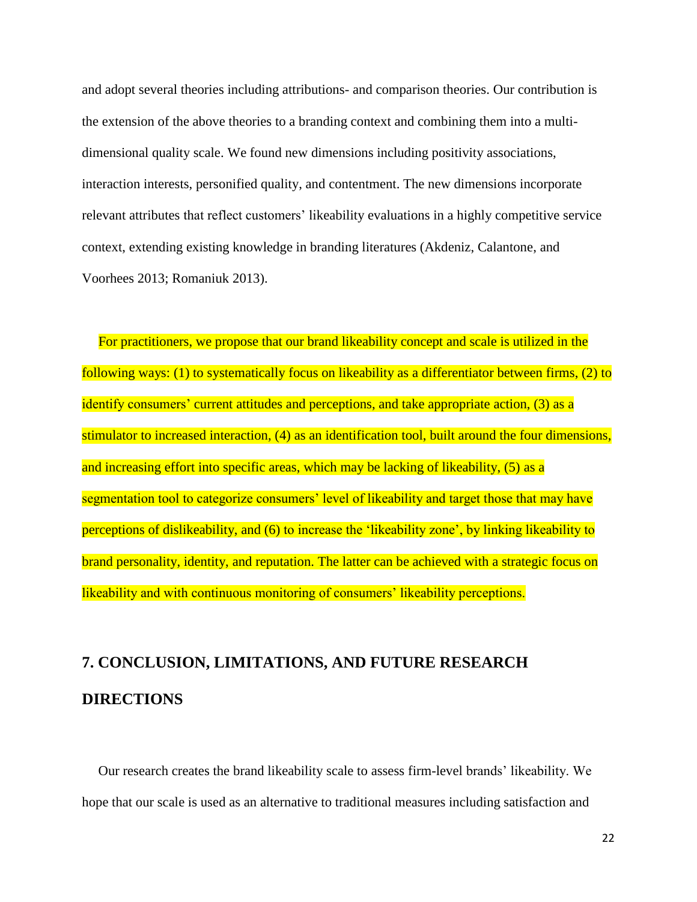and adopt several theories including attributions- and comparison theories. Our contribution is the extension of the above theories to a branding context and combining them into a multidimensional quality scale. We found new dimensions including positivity associations, interaction interests, personified quality, and contentment. The new dimensions incorporate relevant attributes that reflect customers' likeability evaluations in a highly competitive service context, extending existing knowledge in branding literatures (Akdeniz, Calantone, and Voorhees 2013; Romaniuk 2013).

For practitioners, we propose that our brand likeability concept and scale is utilized in the following ways: (1) to systematically focus on likeability as a differentiator between firms, (2) to identify consumers' current attitudes and perceptions, and take appropriate action, (3) as a stimulator to increased interaction, (4) as an identification tool, built around the four dimensions, and increasing effort into specific areas, which may be lacking of likeability, (5) as a segmentation tool to categorize consumers' level of likeability and target those that may have perceptions of dislikeability, and (6) to increase the 'likeability zone', by linking likeability to brand personality, identity, and reputation. The latter can be achieved with a strategic focus on likeability and with continuous monitoring of consumers' likeability perceptions.

## **7. CONCLUSION, LIMITATIONS, AND FUTURE RESEARCH DIRECTIONS**

Our research creates the brand likeability scale to assess firm-level brands' likeability. We hope that our scale is used as an alternative to traditional measures including satisfaction and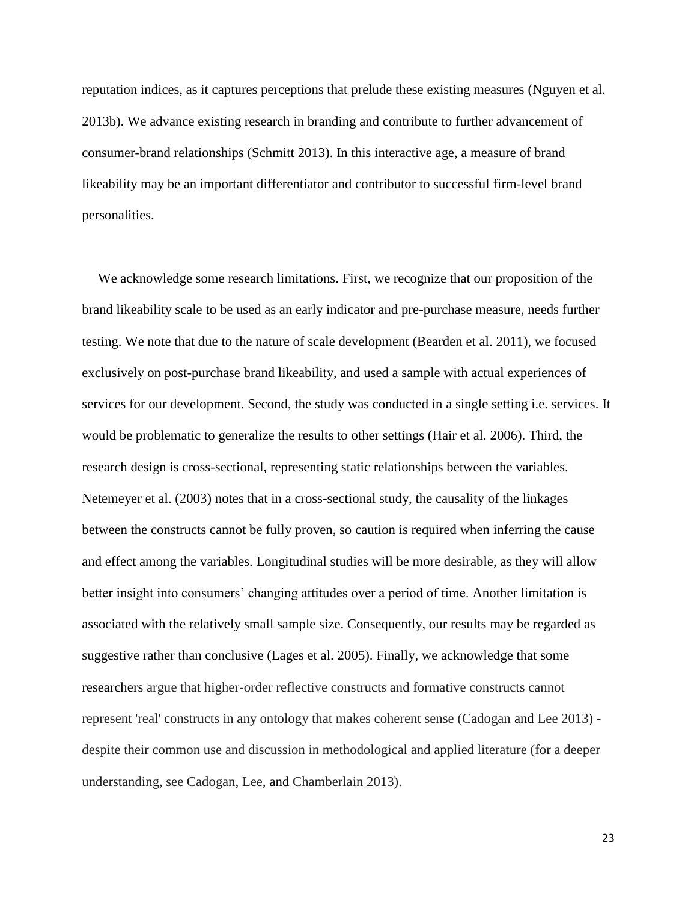reputation indices, as it captures perceptions that prelude these existing measures (Nguyen et al. 2013b). We advance existing research in branding and contribute to further advancement of consumer-brand relationships (Schmitt 2013). In this interactive age, a measure of brand likeability may be an important differentiator and contributor to successful firm-level brand personalities.

We acknowledge some research limitations. First, we recognize that our proposition of the brand likeability scale to be used as an early indicator and pre-purchase measure, needs further testing. We note that due to the nature of scale development (Bearden et al. 2011), we focused exclusively on post-purchase brand likeability, and used a sample with actual experiences of services for our development. Second, the study was conducted in a single setting i.e. services. It would be problematic to generalize the results to other settings (Hair et al. 2006). Third, the research design is cross-sectional, representing static relationships between the variables. Netemeyer et al. (2003) notes that in a cross-sectional study, the causality of the linkages between the constructs cannot be fully proven, so caution is required when inferring the cause and effect among the variables. Longitudinal studies will be more desirable, as they will allow better insight into consumers' changing attitudes over a period of time. Another limitation is associated with the relatively small sample size. Consequently, our results may be regarded as suggestive rather than conclusive (Lages et al. 2005). Finally, we acknowledge that some researchers argue that higher-order reflective constructs and formative constructs cannot represent 'real' constructs in any ontology that makes coherent sense (Cadogan and Lee 2013) despite their common use and discussion in methodological and applied literature (for a deeper understanding, see Cadogan, Lee, and Chamberlain 2013).

23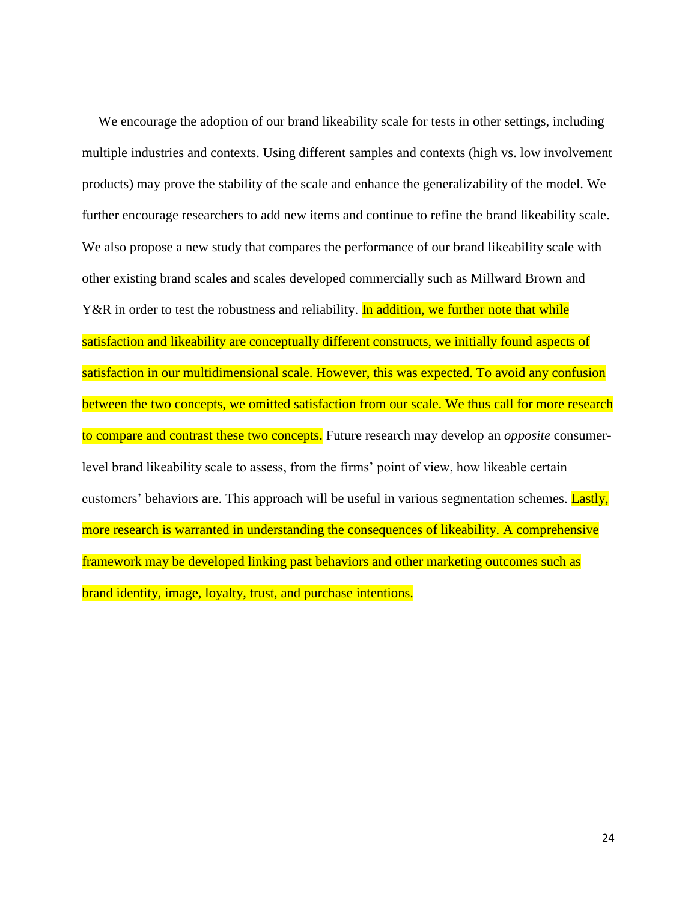We encourage the adoption of our brand likeability scale for tests in other settings, including multiple industries and contexts. Using different samples and contexts (high vs. low involvement products) may prove the stability of the scale and enhance the generalizability of the model. We further encourage researchers to add new items and continue to refine the brand likeability scale. We also propose a new study that compares the performance of our brand likeability scale with other existing brand scales and scales developed commercially such as Millward Brown and Y&R in order to test the robustness and reliability. In addition, we further note that while satisfaction and likeability are conceptually different constructs, we initially found aspects of satisfaction in our multidimensional scale. However, this was expected. To avoid any confusion between the two concepts, we omitted satisfaction from our scale. We thus call for more research to compare and contrast these two concepts. Future research may develop an *opposite* consumerlevel brand likeability scale to assess, from the firms' point of view, how likeable certain customers' behaviors are. This approach will be useful in various segmentation schemes. Lastly, more research is warranted in understanding the consequences of likeability. A comprehensive framework may be developed linking past behaviors and other marketing outcomes such as brand identity, image, loyalty, trust, and purchase intentions.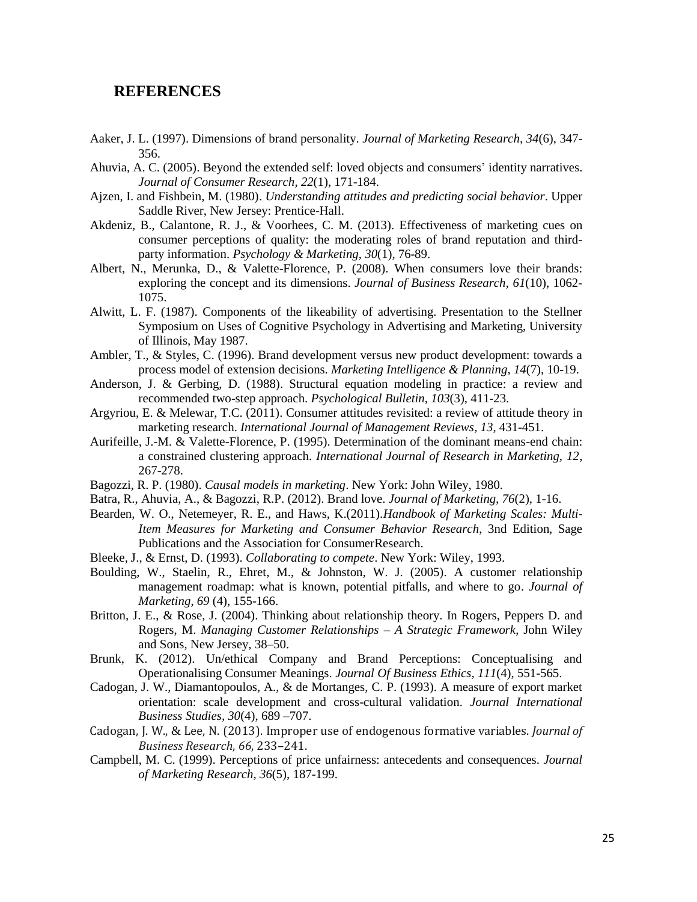#### **REFERENCES**

- Aaker, J. L. (1997). Dimensions of brand personality. *Journal of Marketing Research, 34*(6), 347- 356.
- Ahuvia, A. C. (2005). Beyond the extended self: loved objects and consumers' identity narratives. *Journal of Consumer Research, 22*(1), 171-184.
- Ajzen, I. and Fishbein, M. (1980). *Understanding attitudes and predicting social behavior*. Upper Saddle River, New Jersey: Prentice-Hall.
- Akdeniz, B., Calantone, R. J., & Voorhees, C. M. (2013). Effectiveness of marketing cues on consumer perceptions of quality: the moderating roles of brand reputation and thirdparty information. *Psychology & Marketing*, *30*(1), 76-89.
- Albert, N., Merunka, D., & Valette-Florence, P. (2008). When consumers love their brands: exploring the concept and its dimensions. *Journal of Business Research*, *61*(10), 1062- 1075.
- Alwitt, L. F. (1987). Components of the likeability of advertising. Presentation to the Stellner Symposium on Uses of Cognitive Psychology in Advertising and Marketing, University of Illinois, May 1987.
- Ambler, T., & Styles, C. (1996). Brand development versus new product development: towards a process model of extension decisions. *Marketing Intelligence & Planning, 14*(7), 10-19.
- Anderson, J. & Gerbing, D. (1988). Structural equation modeling in practice: a review and recommended two-step approach. *Psychological Bulletin*, *103*(3), 411-23.
- Argyriou, E. & Melewar, T.C. (2011). Consumer attitudes revisited: a review of attitude theory in marketing research. *International Journal of Management Reviews*, *13*, 431-451.
- Aurifeille, J.-M. & Valette-Florence, P. (1995). Determination of the dominant means-end chain: a constrained clustering approach. *International Journal of Research in Marketing, 12*, 267-278.
- Bagozzi, R. P. (1980). *Causal models in marketing*. New York: John Wiley, 1980.
- Batra, R., Ahuvia, A., & Bagozzi, R.P. (2012). Brand love. *Journal of Marketing, 76*(2), 1-16.
- Bearden, W. O., Netemeyer, R. E., and Haws, K.(2011).*Handbook of Marketing Scales: Multi‐ Item Measures for Marketing and Consumer Behavior Research*, 3nd Edition, Sage Publications and the Association for ConsumerResearch.
- Bleeke, J., & Ernst, D. (1993). *Collaborating to compete*. New York: Wiley, 1993.
- Boulding, W., Staelin, R., Ehret, M., & Johnston, W. J. (2005). A customer relationship management roadmap: what is known, potential pitfalls, and where to go. *Journal of Marketing*, *69* (4), 155-166.
- Britton, J. E., & Rose, J. (2004). Thinking about relationship theory. In Rogers, Peppers D. and Rogers, M. *Managing Customer Relationships – A Strategic Framework*, John Wiley and Sons, New Jersey, 38–50.
- Brunk, K. (2012). Un/ethical Company and Brand Perceptions: Conceptualising and Operationalising Consumer Meanings. *Journal Of Business Ethics*, *111*(4), 551-565.
- Cadogan, J. W., Diamantopoulos, A., & de Mortanges, C. P. (1993). A measure of export market orientation: scale development and cross-cultural validation. *Journal International Business Studies, 30*(4), 689 –707.
- Cadogan, J. W., & Lee, N. (2013). Improper use of endogenous formative variables. *Journal of Business Research*, *66*, 233–241.
- Campbell, M. C. (1999). Perceptions of price unfairness: antecedents and consequences. *Journal of Marketing Research*, *36*(5), 187-199.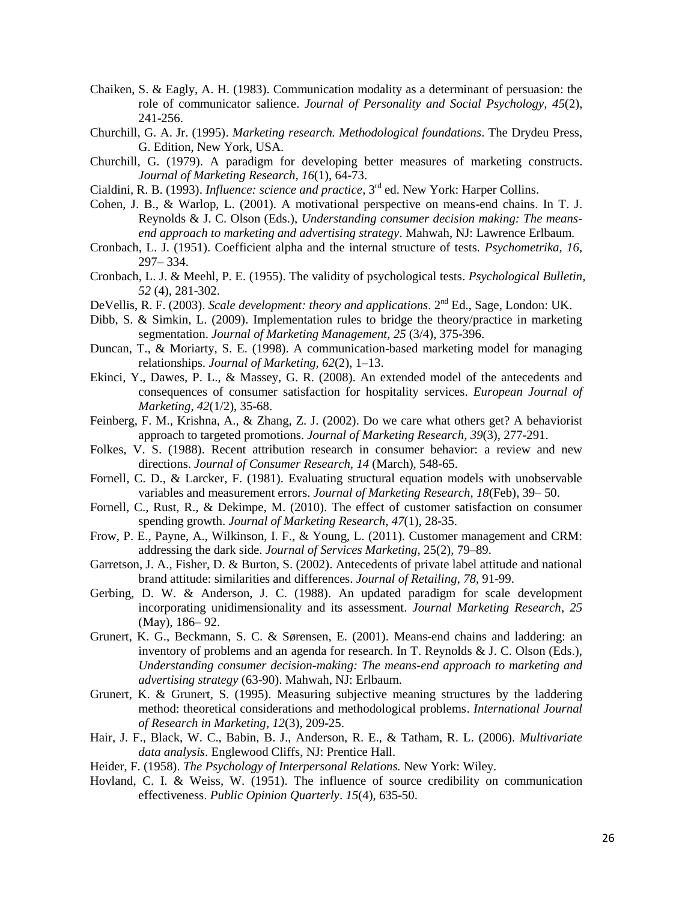- Chaiken, S. & Eagly, A. H. (1983). Communication modality as a determinant of persuasion: the role of communicator salience. *Journal of Personality and Social Psychology, 45*(2), 241-256.
- Churchill, G. A. Jr. (1995). *Marketing research. Methodological foundations*. The Drydeu Press, G. Edition, New York, USA.
- Churchill, G. (1979). A paradigm for developing better measures of marketing constructs. *Journal of Marketing Research*, *16*(1), 64-73.
- Cialdini, R. B. (1993). *Influence: science and practice*, 3rd ed. New York: Harper Collins.
- Cohen, J. B., & Warlop, L. (2001). A motivational perspective on means-end chains. In T. J. Reynolds & J. C. Olson (Eds.), *Understanding consumer decision making: The meansend approach to marketing and advertising strategy*. Mahwah, NJ: Lawrence Erlbaum.
- Cronbach, L. J. (1951). Coefficient alpha and the internal structure of tests. *Psychometrika, 16*, 297– 334.
- Cronbach, L. J. & Meehl, P. E. (1955). The validity of psychological tests. *Psychological Bulletin, 52* (4), 281-302.
- DeVellis, R. F. (2003). *Scale development: theory and applications*. 2<sup>nd</sup> Ed., Sage, London: UK.
- Dibb, S. & Simkin, L. (2009). Implementation rules to bridge the theory/practice in marketing segmentation. *Journal of Marketing Management, 25* (3/4), 375-396.
- Duncan, T., & Moriarty, S. E. (1998). A communication-based marketing model for managing relationships. *Journal of Marketing, 62*(2), 1–13.
- Ekinci, Y., Dawes, P. L., & Massey, G. R. (2008). An extended model of the antecedents and consequences of consumer satisfaction for hospitality services. *European Journal of Marketing*, *42*(1/2), 35-68.
- Feinberg, F. M., Krishna, A., & Zhang, Z. J. (2002). Do we care what others get? A behaviorist approach to targeted promotions. *Journal of Marketing Research, 39*(3), 277-291.
- Folkes, V. S. (1988). Recent attribution research in consumer behavior: a review and new directions. *Journal of Consumer Research, 14* (March), 548-65.
- Fornell, C. D., & Larcker, F. (1981). Evaluating structural equation models with unobservable variables and measurement errors. *Journal of Marketing Research, 18*(Feb), 39– 50.
- Fornell, C., Rust, R., & Dekimpe, M. (2010). The effect of customer satisfaction on consumer spending growth. *Journal of Marketing Research, 47*(1), 28-35.
- Frow, P. E., Payne, A., Wilkinson, I. F., & Young, L. (2011). Customer management and CRM: addressing the dark side. *Journal of Services Marketing,* 25(2), 79–89.
- Garretson, J. A., Fisher, D. & Burton, S. (2002). Antecedents of private label attitude and national brand attitude: similarities and differences. *Journal of Retailing*, *78*, 91-99.
- Gerbing, D. W. & Anderson, J. C. (1988). An updated paradigm for scale development incorporating unidimensionality and its assessment. *Journal Marketing Research*, *25* (May), 186– 92.
- Grunert, K. G., Beckmann, S. C. & Sørensen, E. (2001). Means-end chains and laddering: an inventory of problems and an agenda for research. In T. Reynolds & J. C. Olson (Eds.), *Understanding consumer decision-making: The means-end approach to marketing and advertising strategy* (63-90). Mahwah, NJ: Erlbaum.
- Grunert, K. & Grunert, S. (1995). Measuring subjective meaning structures by the laddering method: theoretical considerations and methodological problems. *International Journal of Research in Marketing*, *12*(3), 209-25.
- Hair, J. F., Black, W. C., Babin, B. J., Anderson, R. E., & Tatham, R. L. (2006). *Multivariate data analysis*. Englewood Cliffs, NJ: Prentice Hall.
- Heider, F. (1958). *The Psychology of Interpersonal Relations.* New York: Wiley.
- Hovland, C. I. & Weiss, W. (1951). The influence of source credibility on communication effectiveness. *Public Opinion Quarterly*. *15*(4), 635-50.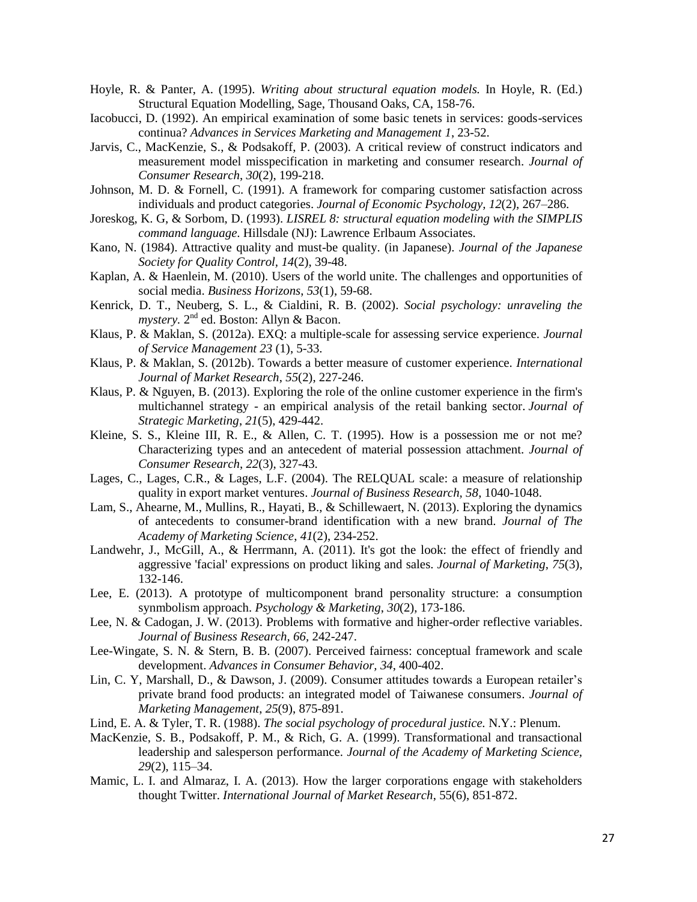- Hoyle, R. & Panter, A. (1995). *Writing about structural equation models.* In Hoyle, R. (Ed.) Structural Equation Modelling, Sage, Thousand Oaks, CA, 158-76.
- Iacobucci, D. (1992). An empirical examination of some basic tenets in services: goods-services continua? *Advances in Services Marketing and Management 1*, 23-52.
- Jarvis, C., MacKenzie, S., & Podsakoff, P. (2003). A critical review of construct indicators and measurement model misspecification in marketing and consumer research. *Journal of Consumer Research*, *30*(2), 199-218.
- Johnson, M. D. & Fornell, C. (1991). A framework for comparing customer satisfaction across individuals and product categories. *Journal of Economic Psychology, 12*(2), 267–286.
- Joreskog, K. G, & Sorbom, D. (1993). *LISREL 8: structural equation modeling with the SIMPLIS command language*. Hillsdale (NJ): Lawrence Erlbaum Associates.
- Kano, N. (1984). Attractive quality and must-be quality. (in Japanese). *Journal of the Japanese Society for Quality Control, 14*(2), 39-48.
- Kaplan, A. & Haenlein, M. (2010). Users of the world unite. The challenges and opportunities of social media. *Business Horizons*, *53*(1), 59-68.
- Kenrick, D. T., Neuberg, S. L., & Cialdini, R. B. (2002). *Social psychology: unraveling the*  mystery. 2<sup>nd</sup> ed. Boston: Allyn & Bacon.
- Klaus, P. & Maklan, S. (2012a). EXQ: a multiple-scale for assessing service experience. *Journal of Service Management 23* (1), 5-33.
- Klaus, P. & Maklan, S. (2012b). Towards a better measure of customer experience. *International Journal of Market Research*, *55*(2), 227-246.
- Klaus, P. & Nguyen, B. (2013). Exploring the role of the online customer experience in the firm's multichannel strategy - an empirical analysis of the retail banking sector. *Journal of Strategic Marketing*, *21*(5), 429-442.
- Kleine, S. S., Kleine III, R. E., & Allen, C. T. (1995). How is a possession me or not me? Characterizing types and an antecedent of material possession attachment. *Journal of Consumer Research*, *22*(3), 327-43.
- Lages, C., Lages, C.R., & Lages, L.F. (2004). The RELQUAL scale: a measure of relationship quality in export market ventures. *Journal of Business Research, 58*, 1040-1048.
- Lam, S., Ahearne, M., Mullins, R., Hayati, B., & Schillewaert, N. (2013). Exploring the dynamics of antecedents to consumer-brand identification with a new brand. *Journal of The Academy of Marketing Science*, *41*(2), 234-252.
- Landwehr, J., McGill, A., & Herrmann, A. (2011). It's got the look: the effect of friendly and aggressive 'facial' expressions on product liking and sales. *Journal of Marketing*, *75*(3), 132-146.
- Lee, E. (2013). A prototype of multicomponent brand personality structure: a consumption synmbolism approach. *Psychology & Marketing*, *30*(2), 173-186.
- Lee, N. & Cadogan, J. W. (2013). Problems with formative and higher-order reflective variables. *Journal of Business Research, 66,* 242-247.
- Lee-Wingate, S. N. & Stern, B. B. (2007). Perceived fairness: conceptual framework and scale development. *Advances in Consumer Behavior, 34*, 400-402.
- Lin, C. Y, Marshall, D., & Dawson, J. (2009). Consumer attitudes towards a European retailer's private brand food products: an integrated model of Taiwanese consumers. *Journal of Marketing Management*, *25*(9), 875-891.
- Lind, E. A. & Tyler, T. R. (1988). *The social psychology of procedural justice.* N.Y.: Plenum.
- MacKenzie, S. B., Podsakoff, P. M., & Rich, G. A. (1999). Transformational and transactional leadership and salesperson performance. *Journal of the Academy of Marketing Science, 29*(2), 115–34.
- Mamic, L. I. and Almaraz, I. A. (2013). How the larger corporations engage with stakeholders thought Twitter. *International Journal of Market Research*, 55(6), 851-872.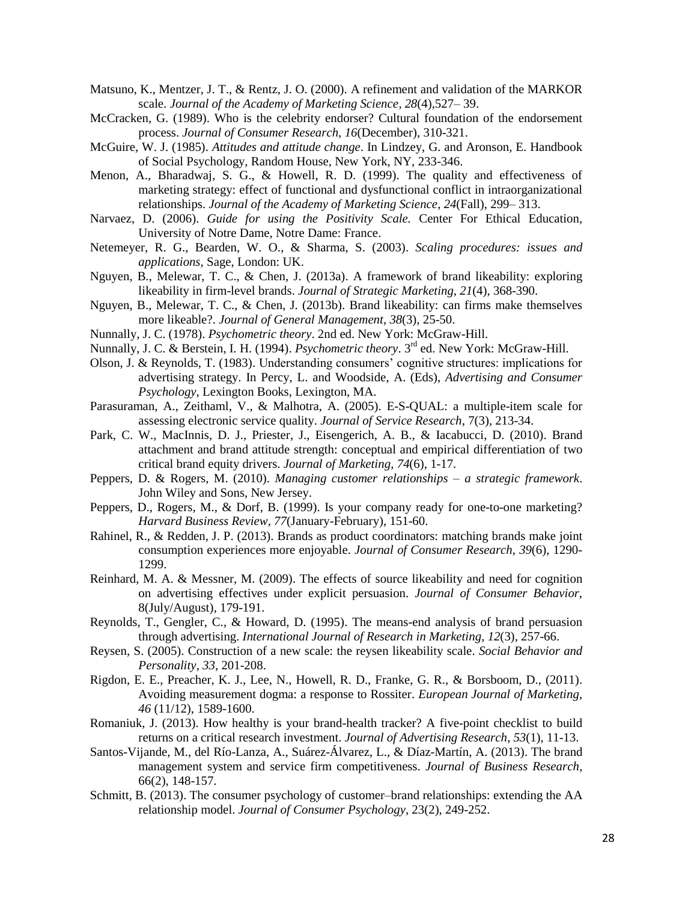- Matsuno, K., Mentzer, J. T., & Rentz, J. O. (2000). A refinement and validation of the MARKOR scale. *Journal of the Academy of Marketing Science, 28*(4),527– 39.
- McCracken, G. (1989). Who is the celebrity endorser? Cultural foundation of the endorsement process. *Journal of Consumer Research, 16*(December), 310-321.
- McGuire, W. J. (1985). *Attitudes and attitude change*. In Lindzey, G. and Aronson, E. Handbook of Social Psychology, Random House, New York, NY, 233-346.
- Menon, A., Bharadwaj, S. G., & Howell, R. D. (1999). The quality and effectiveness of marketing strategy: effect of functional and dysfunctional conflict in intraorganizational relationships. *Journal of the Academy of Marketing Science*, *24*(Fall), 299– 313.
- Narvaez, D. (2006). *Guide for using the Positivity Scale.* Center For Ethical Education, University of Notre Dame, Notre Dame: France.
- Netemeyer, R. G., Bearden, W. O., & Sharma, S. (2003). *Scaling procedures: issues and applications*, Sage, London: UK.
- Nguyen, B., Melewar, T. C., & Chen, J. (2013a). A framework of brand likeability: exploring likeability in firm-level brands. *Journal of Strategic Marketing*, *21*(4), 368-390.
- Nguyen, B., Melewar, T. C., & Chen, J. (2013b). Brand likeability: can firms make themselves more likeable?. *Journal of General Management*, *38*(3), 25-50.
- Nunnally, J. C. (1978). *Psychometric theory*. 2nd ed. New York: McGraw-Hill.
- Nunnally, J. C. & Berstein, I. H. (1994). *Psychometric theory*. 3<sup>rd</sup> ed. New York: McGraw-Hill.
- Olson, J. & Reynolds, T. (1983). Understanding consumers' cognitive structures: implications for advertising strategy. In Percy, L. and Woodside, A. (Eds), *Advertising and Consumer Psychology*, Lexington Books, Lexington, MA.
- Parasuraman, A., Zeithaml, V., & Malhotra, A. (2005). E-S-QUAL: a multiple-item scale for assessing electronic service quality. *Journal of Service Research*, 7(3), 213-34.
- Park, C. W., MacInnis, D. J., Priester, J., Eisengerich, A. B., & Iacabucci, D. (2010). Brand attachment and brand attitude strength: conceptual and empirical differentiation of two critical brand equity drivers. *Journal of Marketing*, *74*(6), 1-17.
- Peppers, D. & Rogers, M. (2010). *Managing customer relationships – a strategic framework*. John Wiley and Sons, New Jersey.
- Peppers, D., Rogers, M., & Dorf, B. (1999). Is your company ready for one-to-one marketing? *Harvard Business Review, 77*(January-February), 151-60.
- Rahinel, R., & Redden, J. P. (2013). Brands as product coordinators: matching brands make joint consumption experiences more enjoyable. *Journal of Consumer Research*, *39*(6), 1290- 1299.
- Reinhard, M. A. & Messner, M. (2009). The effects of source likeability and need for cognition on advertising effectives under explicit persuasion. *Journal of Consumer Behavior,*  8(July/August), 179-191.
- Reynolds, T., Gengler, C., & Howard, D. (1995). The means-end analysis of brand persuasion through advertising. *International Journal of Research in Marketing*, *12*(3), 257-66.
- Reysen, S. (2005). Construction of a new scale: the reysen likeability scale. *Social Behavior and Personality, 33*, 201-208.
- Rigdon, E. E., Preacher, K. J., Lee, N., Howell, R. D., Franke, G. R., & Borsboom, D., (2011). Avoiding measurement dogma: a response to Rossiter. *European Journal of Marketing, 46* (11/12), 1589-1600.
- Romaniuk, J. (2013). How healthy is your brand-health tracker? A five-point checklist to build returns on a critical research investment. *Journal of Advertising Research*, *53*(1), 11-13.
- Santos-Vijande, M., del Río-Lanza, A., Suárez-Álvarez, L., & Díaz-Martín, A. (2013). The brand management system and service firm competitiveness. *Journal of Business Research*, 66(2), 148-157.
- Schmitt, B. (2013). The consumer psychology of customer–brand relationships: extending the AA relationship model. *Journal of Consumer Psychology*, 23(2), 249-252.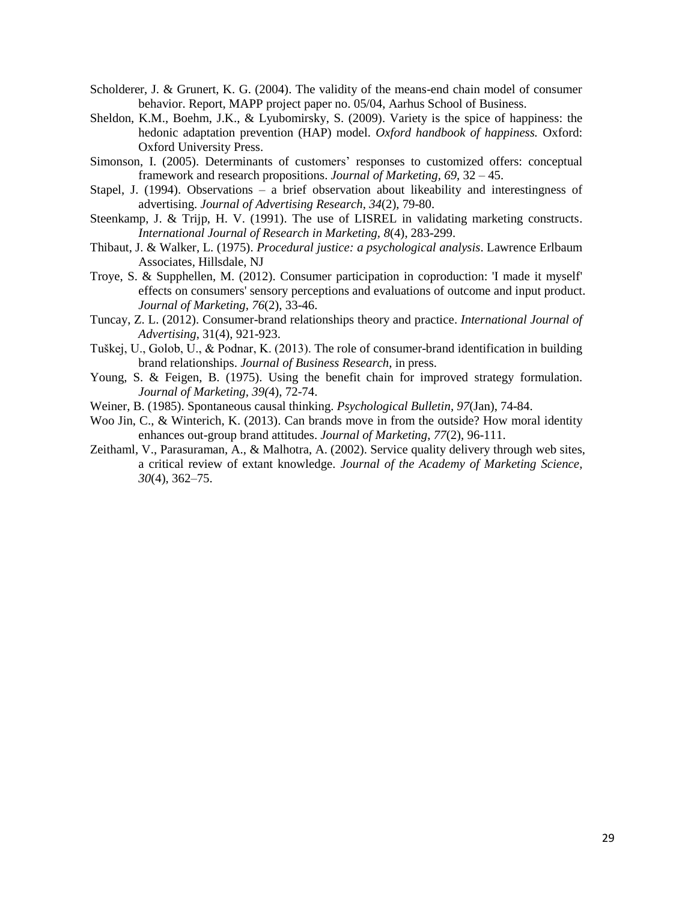- Scholderer, J. & Grunert, K. G. (2004). The validity of the means-end chain model of consumer behavior. Report, MAPP project paper no. 05/04, Aarhus School of Business.
- Sheldon, K.M., Boehm, J.K., & Lyubomirsky, S. (2009). Variety is the spice of happiness: the hedonic adaptation prevention (HAP) model. *Oxford handbook of happiness.* Oxford: Oxford University Press.
- Simonson, I. (2005). Determinants of customers' responses to customized offers: conceptual framework and research propositions. *Journal of Marketing, 69*, 32 – 45.
- Stapel, J. (1994). Observations a brief observation about likeability and interestingness of advertising. *Journal of Advertising Research, 34*(2), 79-80.
- Steenkamp, J. & Trijp, H. V. (1991). The use of LISREL in validating marketing constructs. *International Journal of Research in Marketing, 8*(4), 283-299.
- Thibaut, J. & Walker, L. (1975). *Procedural justice: a psychological analysis*. Lawrence Erlbaum Associates, Hillsdale, NJ
- Troye, S. & Supphellen, M. (2012). Consumer participation in coproduction: 'I made it myself' effects on consumers' sensory perceptions and evaluations of outcome and input product. *Journal of Marketing, 76*(2), 33-46.
- Tuncay, Z. L. (2012). Consumer-brand relationships theory and practice. *International Journal of Advertising*, 31(4), 921-923.
- Tuškej, U., Golob, U., & Podnar, K. (2013). The role of consumer-brand identification in building brand relationships. *Journal of Business Research*, in press.
- Young, S. & Feigen, B. (1975). Using the benefit chain for improved strategy formulation. *Journal of Marketing, 39(*4), 72-74.
- Weiner, B. (1985). Spontaneous causal thinking. *Psychological Bulletin, 97*(Jan), 74-84.
- Woo Jin, C., & Winterich, K. (2013). Can brands move in from the outside? How moral identity enhances out-group brand attitudes. *Journal of Marketing*, *77*(2), 96-111.
- Zeithaml, V., Parasuraman, A., & Malhotra, A. (2002). Service quality delivery through web sites, a critical review of extant knowledge. *Journal of the Academy of Marketing Science, 30*(4), 362–75.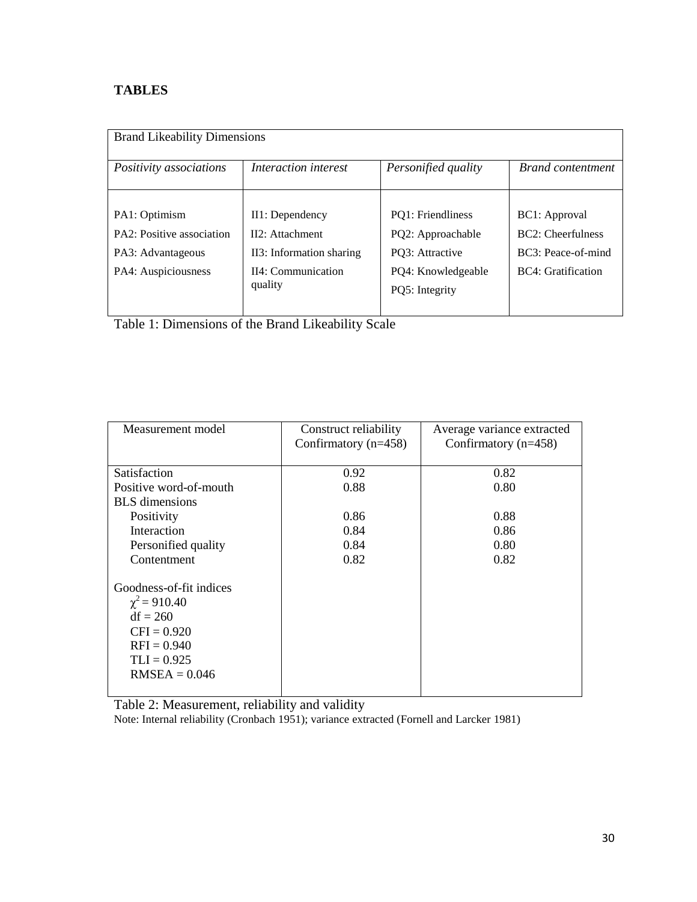## **TABLES**

| <b>Brand Likeability Dimensions</b> |                          |                     |                          |  |
|-------------------------------------|--------------------------|---------------------|--------------------------|--|
| Positivity associations             | Interaction interest     | Personified quality | <b>Brand contentment</b> |  |
|                                     |                          |                     |                          |  |
| PA1: Optimism                       | II1: Dependency          | PQ1: Friendliness   | <b>BC1</b> : Approval    |  |
| PA2: Positive association           | II2: Attachment          | PQ2: Approachable   | BC2: Cheerfulness        |  |
| PA3: Advantageous                   | II3: Information sharing | PQ3: Attractive     | BC3: Peace-of-mind       |  |
| PA4: Auspiciousness                 | II4: Communication       | PO4: Knowledgeable  | BC4: Gratification       |  |
| quality                             | PQ5: Integrity           |                     |                          |  |
|                                     |                          |                     |                          |  |

Table 1: Dimensions of the Brand Likeability Scale

| Measurement model                                                                                                                | Construct reliability<br>Confirmatory $(n=458)$ | Average variance extracted<br>Confirmatory $(n=458)$ |
|----------------------------------------------------------------------------------------------------------------------------------|-------------------------------------------------|------------------------------------------------------|
| Satisfaction<br>Positive word-of-mouth<br><b>BLS</b> dimensions<br>Positivity<br>Interaction                                     | 0.92<br>0.88<br>0.86<br>0.84                    | 0.82<br>0.80<br>0.88<br>0.86                         |
| Personified quality<br>Contentment                                                                                               | 0.84<br>0.82                                    | 0.80<br>0.82                                         |
| Goodness-of-fit indices<br>$\chi^2$ = 910.40<br>$df = 260$<br>$CFI = 0.920$<br>$RFI = 0.940$<br>$TLI = 0.925$<br>$RMSEA = 0.046$ |                                                 |                                                      |

Table 2: Measurement, reliability and validity Note: Internal reliability (Cronbach 1951); variance extracted (Fornell and Larcker 1981)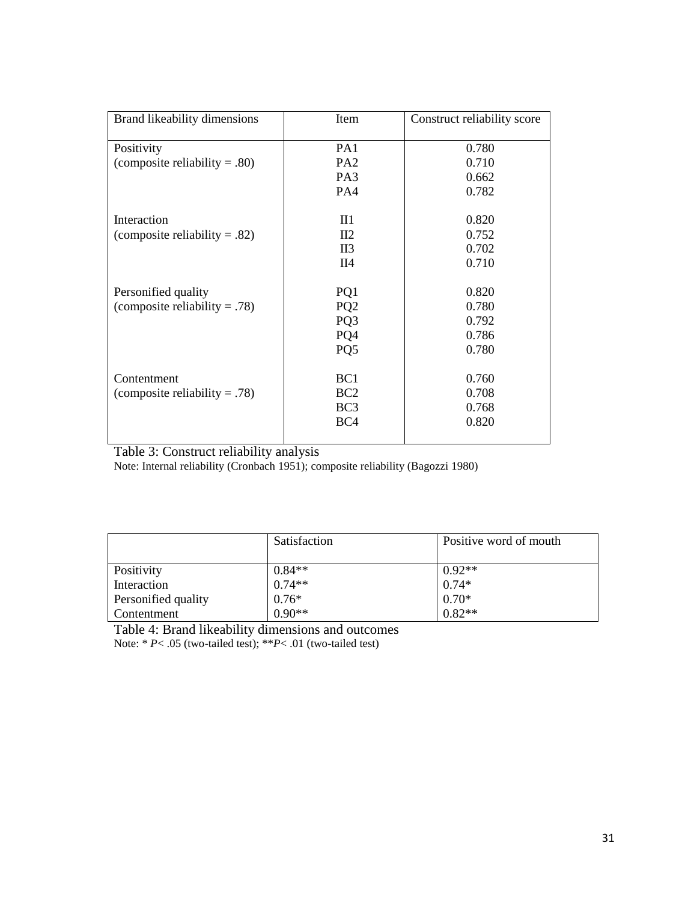| Brand likeability dimensions  | Item            | Construct reliability score |
|-------------------------------|-----------------|-----------------------------|
| Positivity                    | PA1             | 0.780                       |
| (composite reliability = .80) | PA <sub>2</sub> | 0.710                       |
|                               | PA3             | 0.662                       |
|                               | PA4             | 0.782                       |
| Interaction                   | $\Pi$ 1         | 0.820                       |
| (composite reliability = .82) | II2             | 0.752                       |
|                               | II3             | 0.702                       |
|                               | <b>II4</b>      | 0.710                       |
| Personified quality           | PQ1             | 0.820                       |
| (composite reliability = .78) | PQ <sub>2</sub> | 0.780                       |
|                               | PQ3             | 0.792                       |
|                               | PQ4             | 0.786                       |
|                               | PQ <sub>5</sub> | 0.780                       |
| Contentment                   | BC1             | 0.760                       |
| (composite reliability = .78) | BC2             | 0.708                       |
|                               | BC <sub>3</sub> | 0.768                       |
|                               | BC4             | 0.820                       |
|                               |                 |                             |

Table 3: Construct reliability analysis

Note: Internal reliability (Cronbach 1951); composite reliability (Bagozzi 1980)

|                     | Satisfaction | Positive word of mouth |
|---------------------|--------------|------------------------|
| Positivity          | $0.84**$     | $0.92**$               |
| Interaction         | $0.74**$     | $0.74*$                |
| Personified quality | $0.76*$      | $0.70*$                |
| Contentment         | $0.90**$     | $0.82**$               |

Table 4: Brand likeability dimensions and outcomes Note: \* *P*< .05 (two-tailed test); \*\**P*< .01 (two-tailed test)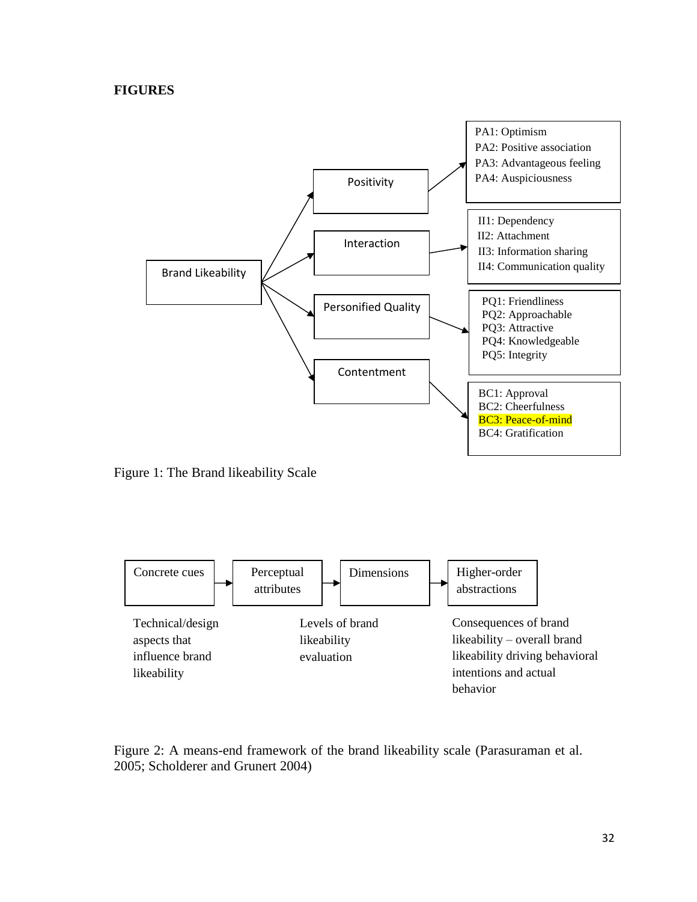#### **FIGURES**



Figure 1: The Brand likeability Scale



Figure 2: A means-end framework of the brand likeability scale (Parasuraman et al. 2005; Scholderer and Grunert 2004)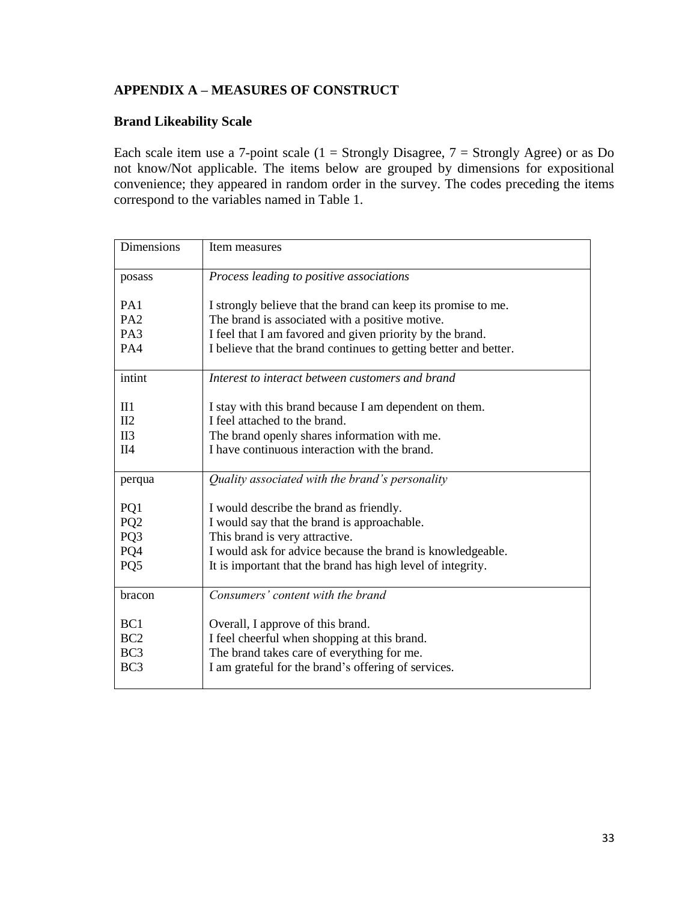## **APPENDIX A – MEASURES OF CONSTRUCT**

### **Brand Likeability Scale**

Each scale item use a 7-point scale  $(1 =$  Strongly Disagree,  $7 =$  Strongly Agree) or as Do not know/Not applicable. The items below are grouped by dimensions for expositional convenience; they appeared in random order in the survey. The codes preceding the items correspond to the variables named in Table 1.

| Dimensions      | Item measures                                                    |
|-----------------|------------------------------------------------------------------|
| posass          | Process leading to positive associations                         |
| PA1             | I strongly believe that the brand can keep its promise to me.    |
| PA <sub>2</sub> | The brand is associated with a positive motive.                  |
| PA <sub>3</sub> | I feel that I am favored and given priority by the brand.        |
| PA4             | I believe that the brand continues to getting better and better. |
| intint          | Interest to interact between customers and brand                 |
| $II1$           | I stay with this brand because I am dependent on them.           |
| II2             | I feel attached to the brand.                                    |
| II3             | The brand openly shares information with me.                     |
| <b>II4</b>      | I have continuous interaction with the brand.                    |
| perqua          | Quality associated with the brand's personality                  |
| PQ1             | I would describe the brand as friendly.                          |
| PQ <sub>2</sub> | I would say that the brand is approachable.                      |
| PQ3             | This brand is very attractive.                                   |
| PQ4             | I would ask for advice because the brand is knowledgeable.       |
| PQ <sub>5</sub> | It is important that the brand has high level of integrity.      |
| bracon          | Consumers' content with the brand                                |
| BC1             | Overall, I approve of this brand.                                |
| BC2             | I feel cheerful when shopping at this brand.                     |
| BC <sub>3</sub> | The brand takes care of everything for me.                       |
| BC <sub>3</sub> | I am grateful for the brand's offering of services.              |
|                 |                                                                  |